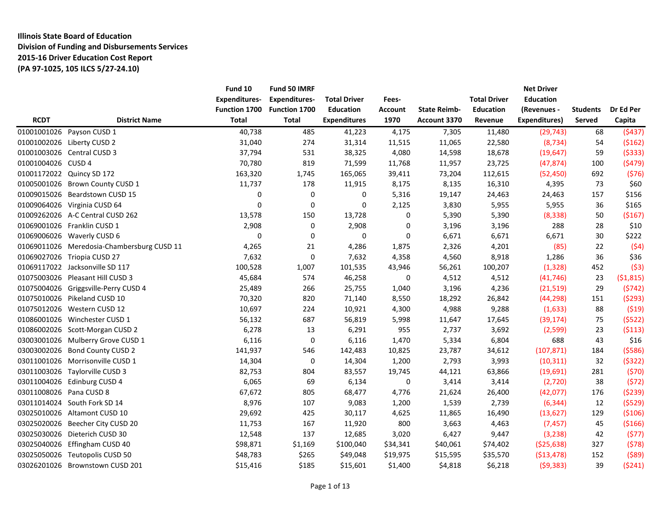# **Illinois State Board of Education Division of Funding and Disbursements Services 2015-16 Driver Education Cost Report (PA 97-1025, 105 ILCS 5/27-24.10)**

|                         |                                            | Fund 10<br><b>Expenditures-</b> | Fund 50 IMRF<br><b>Expenditures-</b> | <b>Total Driver</b> | Fees-    |                     | <b>Total Driver</b> | <b>Net Driver</b><br><b>Education</b> |                 |           |
|-------------------------|--------------------------------------------|---------------------------------|--------------------------------------|---------------------|----------|---------------------|---------------------|---------------------------------------|-----------------|-----------|
|                         |                                            | Function 1700                   | Function 1700                        | <b>Education</b>    | Account  | <b>State Reimb-</b> | <b>Education</b>    | (Revenues -                           | <b>Students</b> | Dr Ed Per |
| <b>RCDT</b>             | <b>District Name</b>                       | <b>Total</b>                    | <b>Total</b>                         | <b>Expenditures</b> | 1970     | Account 3370        | Revenue             | <b>Expenditures)</b>                  | Served          | Capita    |
|                         | 01001001026 Payson CUSD 1                  | 40,738                          | 485                                  | 41,223              | 4,175    | 7,305               | 11,480              | (29, 743)                             | 68              | (5437)    |
|                         | 01001002026 Liberty CUSD 2                 | 31,040                          | 274                                  | 31,314              | 11,515   | 11,065              | 22,580              | (8, 734)                              | 54              | (5162)    |
|                         | 01001003026 Central CUSD 3                 | 37,794                          | 531                                  | 38,325              | 4,080    | 14,598              | 18,678              | (19, 647)                             | 59              | (5333)    |
| 01001004026 CUSD 4      |                                            | 70,780                          | 819                                  | 71,599              | 11,768   | 11,957              | 23,725              | (47, 874)                             | 100             | (5479)    |
|                         | 01001172022 Quincy SD 172                  | 163,320                         | 1,745                                | 165,065             | 39,411   | 73,204              | 112,615             | (52, 450)                             | 692             | (576)     |
|                         | 01005001026 Brown County CUSD 1            | 11,737                          | 178                                  | 11,915              | 8,175    | 8,135               | 16,310              | 4,395                                 | 73              | \$60      |
|                         | 01009015026 Beardstown CUSD 15             | 0                               | $\boldsymbol{0}$                     | 0                   | 5,316    | 19,147              | 24,463              | 24,463                                | 157             | \$156     |
|                         | 01009064026 Virginia CUSD 64               | $\mathbf 0$                     | $\mathbf 0$                          | 0                   | 2,125    | 3,830               | 5,955               | 5,955                                 | 36              | \$165     |
|                         | 01009262026 A-C Central CUSD 262           | 13,578                          | 150                                  | 13,728              | 0        | 5,390               | 5,390               | (8, 338)                              | 50              | ( \$167)  |
|                         | 01069001026 Franklin CUSD 1                | 2,908                           | 0                                    | 2,908               | 0        | 3,196               | 3,196               | 288                                   | 28              | \$10      |
|                         | 01069006026 Waverly CUSD 6                 | 0                               | $\boldsymbol{0}$                     | 0                   | 0        | 6,671               | 6,671               | 6,671                                 | 30              | \$222     |
|                         | 01069011026 Meredosia-Chambersburg CUSD 11 | 4,265                           | 21                                   | 4,286               | 1,875    | 2,326               | 4,201               | (85)                                  | 22              | (54)      |
|                         | 01069027026 Triopia CUSD 27                | 7,632                           | $\mathbf 0$                          | 7,632               | 4,358    | 4,560               | 8,918               | 1,286                                 | 36              | \$36      |
|                         | 01069117022 Jacksonville SD 117            | 100,528                         | 1,007                                | 101,535             | 43,946   | 56,261              | 100,207             | (1, 328)                              | 452             | (53)      |
|                         | 01075003026 Pleasant Hill CUSD 3           | 45,684                          | 574                                  | 46,258              | 0        | 4,512               | 4,512               | (41, 746)                             | 23              | (\$1,815) |
|                         | 01075004026 Griggsville-Perry CUSD 4       | 25,489                          | 266                                  | 25,755              | 1,040    | 3,196               | 4,236               | (21, 519)                             | 29              | (5742)    |
|                         | 01075010026 Pikeland CUSD 10               | 70,320                          | 820                                  | 71,140              | 8,550    | 18,292              | 26,842              | (44, 298)                             | 151             | (5293)    |
|                         | 01075012026 Western CUSD 12                | 10,697                          | 224                                  | 10,921              | 4,300    | 4,988               | 9,288               | (1,633)                               | 88              | (519)     |
|                         | 01086001026 Winchester CUSD 1              | 56,132                          | 687                                  | 56,819              | 5,998    | 11,647              | 17,645              | (39, 174)                             | 75              | (5522)    |
|                         | 01086002026 Scott-Morgan CUSD 2            | 6,278                           | 13                                   | 6,291               | 955      | 2,737               | 3,692               | (2,599)                               | 23              | (5113)    |
|                         | 03003001026 Mulberry Grove CUSD 1          | 6,116                           | $\mathbf 0$                          | 6,116               | 1,470    | 5,334               | 6,804               | 688                                   | 43              | \$16      |
|                         | 03003002026 Bond County CUSD 2             | 141,937                         | 546                                  | 142,483             | 10,825   | 23,787              | 34,612              | (107, 871)                            | 184             | (5586)    |
|                         | 03011001026 Morrisonville CUSD 1           | 14,304                          | 0                                    | 14,304              | 1,200    | 2,793               | 3,993               | (10, 311)                             | 32              | (5322)    |
|                         | 03011003026 Taylorville CUSD 3             | 82,753                          | 804                                  | 83,557              | 19,745   | 44,121              | 63,866              | (19,691)                              | 281             | (570)     |
|                         | 03011004026 Edinburg CUSD 4                | 6,065                           | 69                                   | 6,134               | 0        | 3,414               | 3,414               | (2,720)                               | 38              | (572)     |
| 03011008026 Pana CUSD 8 |                                            | 67,672                          | 805                                  | 68,477              | 4,776    | 21,624              | 26,400              | (42,077)                              | 176             | (5239)    |
|                         | 03011014024 South Fork SD 14               | 8,976                           | 107                                  | 9,083               | 1,200    | 1,539               | 2,739               | (6, 344)                              | 12              | (5529)    |
|                         | 03025010026 Altamont CUSD 10               | 29,692                          | 425                                  | 30,117              | 4,625    | 11,865              | 16,490              | (13, 627)                             | 129             | (5106)    |
|                         | 03025020026 Beecher City CUSD 20           | 11,753                          | 167                                  | 11,920              | 800      | 3,663               | 4,463               | (7, 457)                              | 45              | ( \$166)  |
|                         | 03025030026 Dieterich CUSD 30              | 12,548                          | 137                                  | 12,685              | 3,020    | 6,427               | 9,447               | (3, 238)                              | 42              | (577)     |
|                         | 03025040026 Effingham CUSD 40              | \$98,871                        | \$1,169                              | \$100,040           | \$34,341 | \$40,061            | \$74,402            | (525, 638)                            | 327             | (578)     |
|                         | 03025050026 Teutopolis CUSD 50             | \$48,783                        | \$265                                | \$49,048            | \$19,975 | \$15,595            | \$35,570            | ( \$13,478)                           | 152             | (589)     |
|                         | 03026201026 Brownstown CUSD 201            | \$15,416                        | \$185                                | \$15,601            | \$1,400  | \$4,818             | \$6,218             | (59, 383)                             | 39              | (5241)    |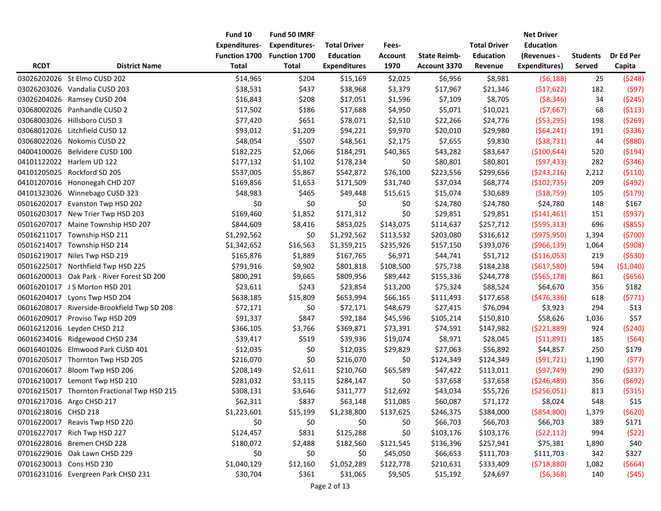|                      |                                             | Fund 10              | Fund 50 IMRF         |                     |                |                     |                     | <b>Net Driver</b>    |                 |           |
|----------------------|---------------------------------------------|----------------------|----------------------|---------------------|----------------|---------------------|---------------------|----------------------|-----------------|-----------|
|                      |                                             | <b>Expenditures-</b> | <b>Expenditures-</b> | <b>Total Driver</b> | Fees-          |                     | <b>Total Driver</b> | <b>Education</b>     |                 |           |
|                      |                                             | Function 1700        | Function 1700        | <b>Education</b>    | <b>Account</b> | <b>State Reimb-</b> | <b>Education</b>    | (Revenues -          | <b>Students</b> | Dr Ed Per |
| <b>RCDT</b>          | <b>District Name</b>                        | <b>Total</b>         | <b>Total</b>         | <b>Expenditures</b> | 1970           | Account 3370        | Revenue             | <b>Expenditures)</b> | Served          | Capita    |
|                      | 03026202026 St Elmo CUSD 202                | \$14,965             | \$204                | \$15,169            | \$2,025        | \$6,956             | \$8,981             | (56, 188)            | 25              | (5248)    |
| 03026203026          | Vandalia CUSD 203                           | \$38,531             | \$437                | \$38,968            | \$3,379        | \$17,967            | \$21,346            | (517, 622)           | 182             | (597)     |
| 03026204026          | Ramsey CUSD 204                             | \$16,843             | \$208                | \$17,051            | \$1,596        | \$7,109             | \$8,705             | ( \$8,346)           | 34              | (5245)    |
|                      | 03068002026 Panhandle CUSD 2                | \$17,502             | \$186                | \$17,688            | \$4,950        | \$5,071             | \$10,021            | (57,667)             | 68              | (5113)    |
|                      | 03068003026 Hillsboro CUSD 3                | \$77,420             | \$651                | \$78,071            | \$2,510        | \$22,266            | \$24,776            | (553, 295)           | 198             | (5269)    |
| 03068012026          | Litchfield CUSD 12                          | \$93,012             | \$1,209              | \$94,221            | \$9,970        | \$20,010            | \$29,980            | (564, 241)           | 191             | ( \$336)  |
| 03068022026          | Nokomis CUSD 22                             | \$48,054             | \$507                | \$48,561            | \$2,175        | \$7,655             | \$9,830             | ( \$38, 731)         | 44              | ( \$880)  |
| 04004100026          | Belvidere CUSD 100                          | \$182,225            | \$2,066              | \$184,291           | \$40,365       | \$43,282            | \$83,647            | ( \$100, 644)        | 520             | (5194)    |
|                      | 04101122022 Harlem UD 122                   | \$177,132            | \$1,102              | \$178,234           | \$0            | \$80,801            | \$80,801            | (597, 433)           | 282             | ( \$346)  |
| 04101205025          | Rockford SD 205                             | \$537,005            | \$5,867              | \$542,872           | \$76,100       | \$223,556           | \$299,656           | (5243, 216)          | 2,212           | (5110)    |
|                      | 04101207016 Hononegah CHD 207               | \$169,856            | \$1,653              | \$171,509           | \$31,740       | \$37,034            | \$68,774            | (\$102,735)          | 209             | (5492)    |
|                      | 04101323026 Winnebago CUSD 323              | \$48,983             | \$465                | \$49,448            | \$15,615       | \$15,074            | \$30,689            | ( \$18,759)          | 105             | (5179)    |
| 05016202017          | Evanston Twp HSD 202                        | \$0                  | \$0                  | \$0                 | \$0            | \$24,780            | \$24,780            | \$24,780             | 148             | \$167     |
| 05016203017          | New Trier Twp HSD 203                       | \$169,460            | \$1,852              | \$171,312           | \$0            | \$29,851            | \$29,851            | ( \$141,461)         | 151             | (5937)    |
| 05016207017          | Maine Township HSD 207                      | \$844,609            | \$8,416              | \$853,025           | \$143,075      | \$114,637           | \$257,712           | (5595, 313)          | 696             | ( \$855)  |
|                      | 05016211017 Township HSD 211                | \$1,292,562          | \$0                  | \$1,292,562         | \$113,532      | \$203,080           | \$316,612           | ( \$975, 950)        | 1,394           | (5700)    |
|                      | 05016214017 Township HSD 214                | \$1,342,652          | \$16,563             | \$1,359,215         | \$235,926      | \$157,150           | \$393,076           | ( \$966, 139)        | 1,064           | (5908)    |
| 05016219017          | Niles Twp HSD 219                           | \$165,876            | \$1,889              | \$167,765           | \$6,971        | \$44,741            | \$51,712            | ( \$116,053)         | 219             | (5530)    |
| 05016225017          | Northfield Twp HSD 225                      | \$791,916            | \$9,902              | \$801,818           | \$108,500      | \$75,738            | \$184,238           | ( \$617, 580)        | 594             | (\$1,040) |
|                      | 06016200013 Oak Park - River Forest SD 200  | \$800,291            | \$9,665              | \$809,956           | \$89,442       | \$155,336           | \$244,778           | ( \$565, 178)        | 861             | ( \$656)  |
|                      | 06016201017 J S Morton HSD 201              | \$23,611             | \$243                | \$23,854            | \$13,200       | \$75,324            | \$88,524            | \$64,670             | 356             | \$182     |
| 06016204017          | Lyons Twp HSD 204                           | \$638,185            | \$15,809             | \$653,994           | \$66,165       | \$111,493           | \$177,658           | (5476, 336)          | 618             | (5771)    |
|                      | 06016208017 Riverside-Brookfield Twp SD 208 | \$72,171             | \$0                  | \$72,171            | \$48,679       | \$27,415            | \$76,094            | \$3,923              | 294             | \$13      |
| 06016209017          | Proviso Twp HSD 209                         | \$91,337             | \$847                | \$92,184            | \$45,596       | \$105,214           | \$150,810           | \$58,626             | 1,036           | \$57      |
| 06016212016          | Leyden CHSD 212                             | \$366,105            | \$3,766              | \$369,871           | \$73,391       | \$74,591            | \$147,982           | ( \$221, 889)        | 924             | (5240)    |
| 06016234016          | Ridgewood CHSD 234                          | \$39,417             | \$519                | \$39,936            | \$19,074       | \$8,971             | \$28,045            | (511,891)            | 185             | (564)     |
| 06016401026          | Elmwood Park CUSD 401                       | \$12,035             | \$0                  | \$12,035            | \$29,829       | \$27,063            | \$56,892            | \$44,857             | 250             | \$179     |
|                      | 07016205017 Thornton Twp HSD 205            | \$216,070            | \$0                  | \$216,070           | \$0            | \$124,349           | \$124,349           | (591, 721)           | 1,190           | (577)     |
| 07016206017          | Bloom Twp HSD 206                           | \$208,149            | \$2,611              | \$210,760           | \$65,589       | \$47,422            | \$113,011           | (597, 749)           | 290             | (5337)    |
|                      | 07016210017 Lemont Twp HSD 210              | \$281,032            | \$3,115              | \$284,147           | \$0            | \$37,658            | \$37,658            | ( \$246,489)         | 356             | (5692)    |
|                      | 07016215017 Thornton Fractional Twp HSD 215 | \$308,131            | \$3,646              | \$311,777           | \$12,692       | \$43,034            | \$55,726            | ( \$256,051)         | 813             | ( \$315)  |
|                      | 07016217016 Argo CHSD 217                   | \$62,311             | \$837                | \$63,148            | \$11,085       | \$60,087            | \$71,172            | \$8,024              | 548             | \$15      |
| 07016218016 CHSD 218 |                                             | \$1,223,601          | \$15,199             | \$1,238,800         | \$137,625      | \$246,375           | \$384,000           | ( \$854, 800)        | 1,379           | (5620)    |
|                      | 07016220017 Reavis Twp HSD 220              | \$0                  | \$0                  | \$0                 | \$0            | \$66,703            | \$66,703            | \$66,703             | 389             | \$171     |
|                      | 07016227017 Rich Twp HSD 227                | \$124,457            | \$831                | \$125,288           | \$0            | \$103,176           | \$103,176           | (522, 112)           | 994             | (522)     |
|                      | 07016228016 Bremen CHSD 228                 | \$180,072            | \$2,488              | \$182,560           | \$121,545      | \$136,396           | \$257,941           | \$75,381             | 1,890           | \$40      |
|                      | 07016229016 Oak Lawn CHSD 229               | \$0                  | \$0                  | \$0                 | \$45,050       | \$66,653            | \$111,703           | \$111,703            | 342             | \$327     |
|                      | 07016230013 Cons HSD 230                    | \$1,040,129          | \$12,160             | \$1,052,289         | \$122,778      | \$210,631           | \$333,409           | (5718,880)           | 1,082           | (5664)    |
|                      | 07016231016 Evergreen Park CHSD 231         | \$30,704             | \$361                | \$31,065            | \$9,505        | \$15,192            | \$24,697            | (56, 368)            | 140             | (545)     |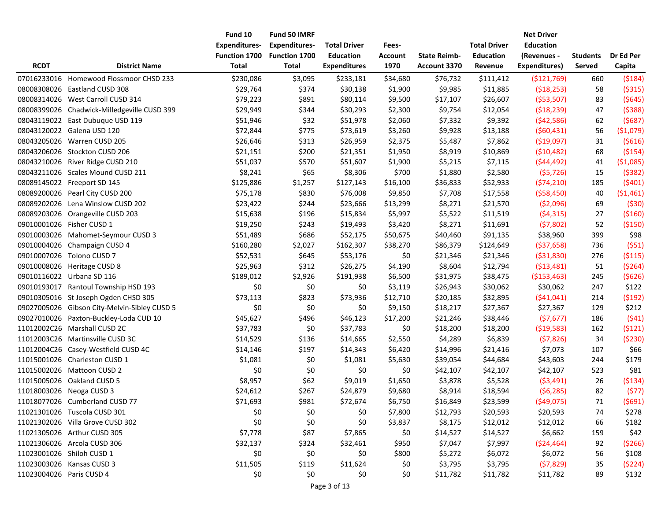|                          |                                              | Fund 10              | Fund 50 IMRF         |                     |                |                     |                     | <b>Net Driver</b> |                 |            |
|--------------------------|----------------------------------------------|----------------------|----------------------|---------------------|----------------|---------------------|---------------------|-------------------|-----------------|------------|
|                          |                                              | <b>Expenditures-</b> | <b>Expenditures-</b> | <b>Total Driver</b> | Fees-          |                     | <b>Total Driver</b> | <b>Education</b>  |                 |            |
|                          |                                              | Function 1700        | Function 1700        | <b>Education</b>    | <b>Account</b> | <b>State Reimb-</b> | <b>Education</b>    | (Revenues -       | <b>Students</b> | Dr Ed Per  |
| <b>RCDT</b>              | <b>District Name</b>                         | Total                | <b>Total</b>         | <b>Expenditures</b> | 1970           | Account 3370        | Revenue             | Expenditures)     | Served          | Capita     |
|                          | 07016233016 Homewood Flossmoor CHSD 233      | \$230,086            | \$3,095              | \$233,181           | \$34,680       | \$76,732            | \$111,412           | ( \$121,769)      | 660             | (5184)     |
|                          | 08008308026 Eastland CUSD 308                | \$29,764             | \$374                | \$30,138            | \$1,900        | \$9,985             | \$11,885            | (518, 253)        | 58              | ( \$315)   |
|                          | 08008314026 West Carroll CUSD 314            | \$79,223             | \$891                | \$80,114            | \$9,500        | \$17,107            | \$26,607            | ( \$53,507)       | 83              | (5645)     |
|                          | 08008399026 Chadwick-Milledgeville CUSD 399  | \$29,949             | \$344                | \$30,293            | \$2,300        | \$9,754             | \$12,054            | (518, 239)        | 47              | (5388)     |
|                          | 08043119022 East Dubuque USD 119             | \$51,946             | \$32                 | \$51,978            | \$2,060        | \$7,332             | \$9,392             | (542,586)         | 62              | (5687)     |
|                          | 08043120022 Galena USD 120                   | \$72,844             | \$775                | \$73,619            | \$3,260        | \$9,928             | \$13,188            | (560, 431)        | 56              | ( \$1,079) |
|                          | 08043205026 Warren CUSD 205                  | \$26,646             | \$313                | \$26,959            | \$2,375        | \$5,487             | \$7,862             | ( \$19,097)       | 31              | (5616)     |
|                          | 08043206026 Stockton CUSD 206                | \$21,151             | \$200                | \$21,351            | \$1,950        | \$8,919             | \$10,869            | (510, 482)        | 68              | ( \$154)   |
|                          | 08043210026 River Ridge CUSD 210             | \$51,037             | \$570                | \$51,607            | \$1,900        | \$5,215             | \$7,115             | (544, 492)        | 41              | ( \$1,085) |
|                          | 08043211026 Scales Mound CUSD 211            | \$8,241              | \$65                 | \$8,306             | \$700          | \$1,880             | \$2,580             | (55, 726)         | 15              | (5382)     |
|                          | 08089145022 Freeport SD 145                  | \$125,886            | \$1,257              | \$127,143           | \$16,100       | \$36,833            | \$52,933            | (574, 210)        | 185             | (5401)     |
|                          | 08089200026 Pearl City CUSD 200              | \$75,178             | \$830                | \$76,008            | \$9,850        | \$7,708             | \$17,558            | (558, 450)        | 40              | ( \$1,461) |
|                          | 08089202026 Lena Winslow CUSD 202            | \$23,422             | \$244                | \$23,666            | \$13,299       | \$8,271             | \$21,570            | ( \$2,096)        | 69              | (530)      |
|                          | 08089203026 Orangeville CUSD 203             | \$15,638             | \$196                | \$15,834            | \$5,997        | \$5,522             | \$11,519            | (54, 315)         | 27              | ( \$160)   |
|                          | 09010001026 Fisher CUSD 1                    | \$19,250             | \$243                | \$19,493            | \$3,420        | \$8,271             | \$11,691            | (57,802)          | 52              | ( \$150)   |
|                          | 09010003026 Mahomet-Seymour CUSD 3           | \$51,489             | \$686                | \$52,175            | \$50,675       | \$40,460            | \$91,135            | \$38,960          | 399             | \$98       |
|                          | 09010004026 Champaign CUSD 4                 | \$160,280            | \$2,027              | \$162,307           | \$38,270       | \$86,379            | \$124,649           | ( \$37,658)       | 736             | (551)      |
|                          | 09010007026 Tolono CUSD 7                    | \$52,531             | \$645                | \$53,176            | \$0            | \$21,346            | \$21,346            | ( \$31, 830)      | 276             | ( \$115)   |
|                          | 09010008026 Heritage CUSD 8                  | \$25,963             | \$312                | \$26,275            | \$4,190        | \$8,604             | \$12,794            | (513,481)         | 51              | ( \$264)   |
|                          | 09010116022 Urbana SD 116                    | \$189,012            | \$2,926              | \$191,938           | \$6,500        | \$31,975            | \$38,475            | ( \$153,463)      | 245             | (5626)     |
|                          | 09010193017 Rantoul Township HSD 193         | \$0                  | \$0                  | \$0                 | \$3,119        | \$26,943            | \$30,062            | \$30,062          | 247             | \$122      |
|                          | 09010305016 St Joseph Ogden CHSD 305         | \$73,113             | \$823                | \$73,936            | \$12,710       | \$20,185            | \$32,895            | (541, 041)        | 214             | (5192)     |
|                          | 09027005026 Gibson City-Melvin-Sibley CUSD 5 | \$0                  | \$0                  | \$0                 | \$9,150        | \$18,217            | \$27,367            | \$27,367          | 129             | \$212      |
|                          | 09027010026 Paxton-Buckley-Loda CUD 10       | \$45,627             | \$496                | \$46,123            | \$17,200       | \$21,246            | \$38,446            | (57, 677)         | 186             | (541)      |
|                          | 11012002C26 Marshall CUSD 2C                 | \$37,783             | \$0                  | \$37,783            | \$0            | \$18,200            | \$18,200            | (519,583)         | 162             | (5121)     |
|                          | 11012003C26 Martinsville CUSD 3C             | \$14,529             | \$136                | \$14,665            | \$2,550        | \$4,289             | \$6,839             | (57, 826)         | 34              | ( \$230)   |
|                          | 11012004C26 Casey-Westfield CUSD 4C          | \$14,146             | \$197                | \$14,343            | \$6,420        | \$14,996            | \$21,416            | \$7,073           | 107             | \$66       |
|                          | 11015001026 Charleston CUSD 1                | \$1,081              | \$0                  | \$1,081             | \$5,630        | \$39,054            | \$44,684            | \$43,603          | 244             | \$179      |
|                          | 11015002026 Mattoon CUSD 2                   | \$0                  | \$0                  | \$0                 | \$0            | \$42,107            | \$42,107            | \$42,107          | 523             | \$81       |
|                          | 11015005026 Oakland CUSD 5                   | \$8,957              | \$62                 | \$9,019             | \$1,650        | \$3,878             | \$5,528             | (53, 491)         | 26              | ( \$134)   |
|                          | 11018003026 Neoga CUSD 3                     | \$24,612             | \$267                | \$24,879            | \$9,680        | \$8,914             | \$18,594            | (56, 285)         | 82              | (577)      |
|                          | 11018077026 Cumberland CUSD 77               | \$71,693             | \$981                | \$72,674            | \$6,750        | \$16,849            | \$23,599            | ( \$49,075)       | 71              | (5691)     |
|                          | 11021301026 Tuscola CUSD 301                 | \$0                  | \$0                  | \$0                 | \$7,800        | \$12,793            | \$20,593            | \$20,593          | 74              | \$278      |
|                          | 11021302026 Villa Grove CUSD 302             | \$0                  | \$0                  | \$0                 | \$3,837        | \$8,175             | \$12,012            | \$12,012          | 66              | \$182      |
|                          | 11021305026 Arthur CUSD 305                  | \$7,778              | \$87                 | \$7,865             | \$0            | \$14,527            | \$14,527            | \$6,662           | 159             | \$42       |
|                          | 11021306026 Arcola CUSD 306                  | \$32,137             | \$324                | \$32,461            | \$950          | \$7,047             | \$7,997             | ( \$24,464)       | 92              | ( \$266)   |
|                          | 11023001026 Shiloh CUSD 1                    | \$0                  | \$0                  | \$0                 | \$800          | \$5,272             | \$6,072             | \$6,072           | 56              | \$108      |
|                          | 11023003026 Kansas CUSD 3                    | \$11,505             | \$119                | \$11,624            | \$0            | \$3,795             | \$3,795             | (57, 829)         | 35              | (5224)     |
| 11023004026 Paris CUSD 4 |                                              | \$0                  | \$0                  | \$0                 | \$0            | \$11,782            | \$11,782            | \$11,782          | 89              | \$132      |
|                          |                                              |                      |                      |                     |                |                     |                     |                   |                 |            |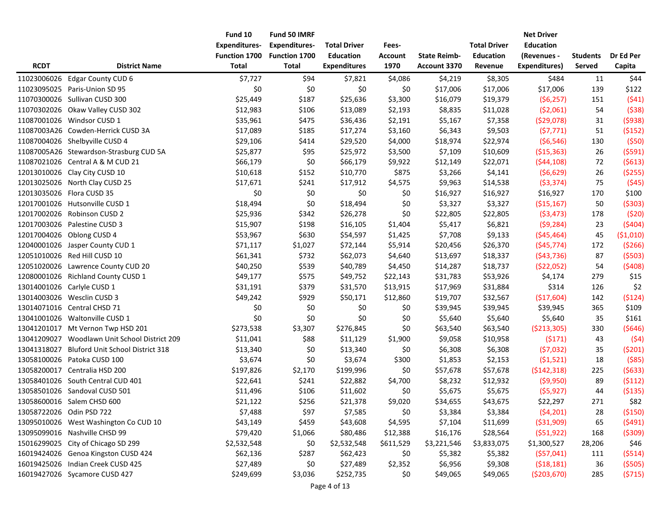|                          |                                               | Fund 10              | Fund 50 IMRF         |                     |                |                     |                     | <b>Net Driver</b> |                 |            |
|--------------------------|-----------------------------------------------|----------------------|----------------------|---------------------|----------------|---------------------|---------------------|-------------------|-----------------|------------|
|                          |                                               | <b>Expenditures-</b> | <b>Expenditures-</b> | <b>Total Driver</b> | Fees-          |                     | <b>Total Driver</b> | <b>Education</b>  |                 |            |
|                          |                                               | <b>Function 1700</b> | <b>Function 1700</b> | <b>Education</b>    | <b>Account</b> | <b>State Reimb-</b> | <b>Education</b>    | (Revenues -       | <b>Students</b> | Dr Ed Per  |
| <b>RCDT</b>              | <b>District Name</b>                          | <b>Total</b>         | <b>Total</b>         | <b>Expenditures</b> | 1970           | Account 3370        | Revenue             | Expenditures)     | Served          | Capita     |
| 11023006026              | <b>Edgar County CUD 6</b>                     | \$7,727              | \$94                 | \$7,821             | \$4,086        | \$4,219             | \$8,305             | \$484             | 11              | \$44       |
| 11023095025              | Paris-Union SD 95                             | \$0                  | \$0                  | \$0                 | \$0            | \$17,006            | \$17,006            | \$17,006          | 139             | \$122      |
|                          | 11070300026 Sullivan CUSD 300                 | \$25,449             | \$187                | \$25,636            | \$3,300        | \$16,079            | \$19,379            | (56, 257)         | 151             | (541)      |
|                          | 11070302026 Okaw Valley CUSD 302              | \$12,983             | \$106                | \$13,089            | \$2,193        | \$8,835             | \$11,028            | (52,061)          | 54              | (538)      |
|                          | 11087001026 Windsor CUSD 1                    | \$35,961             | \$475                | \$36,436            | \$2,191        | \$5,167             | \$7,358             | (529,078)         | 31              | (5938)     |
|                          | 11087003A26 Cowden-Herrick CUSD 3A            | \$17,089             | \$185                | \$17,274            | \$3,160        | \$6,343             | \$9,503             | (57, 771)         | 51              | (5152)     |
|                          | 11087004026 Shelbyville CUSD 4                | \$29,106             | \$414                | \$29,520            | \$4,000        | \$18,974            | \$22,974            | (56, 546)         | 130             | (550)      |
|                          | 11087005A26 Stewardson-Strasburg CUD 5A       | \$25,877             | \$95                 | \$25,972            | \$3,500        | \$7,109             | \$10,609            | ( \$15,363)       | 26              | (5591)     |
|                          | 11087021026 Central A & M CUD 21              | \$66,179             | \$0                  | \$66,179            | \$9,922        | \$12,149            | \$22,071            | (544, 108)        | 72              | (5613)     |
|                          | 12013010026 Clay City CUSD 10                 | \$10,618             | \$152                | \$10,770            | \$875          | \$3,266             | \$4,141             | (56, 629)         | 26              | ( \$255)   |
|                          | 12013025026 North Clay CUSD 25                | \$17,671             | \$241                | \$17,912            | \$4,575        | \$9,963             | \$14,538            | (53, 374)         | 75              | (545)      |
|                          | 12013035026 Flora CUSD 35                     | \$0                  | \$0                  | \$0                 | \$0            | \$16,927            | \$16,927            | \$16,927          | 170             | \$100      |
|                          | 12017001026 Hutsonville CUSD 1                | \$18,494             | \$0                  | \$18,494            | \$0            | \$3,327             | \$3,327             | ( \$15, 167)      | 50              | ( \$303)   |
|                          | 12017002026 Robinson CUSD 2                   | \$25,936             | \$342                | \$26,278            | \$0            | \$22,805            | \$22,805            | (53, 473)         | 178             | (520)      |
|                          | 12017003026 Palestine CUSD 3                  | \$15,907             | \$198                | \$16,105            | \$1,404        | \$5,417             | \$6,821             | (59, 284)         | 23              | (5404)     |
|                          | 12017004026 Oblong CUSD 4                     | \$53,967             | \$630                | \$54,597            | \$1,425        | \$7,708             | \$9,133             | ( \$45,464)       | 45              | ( \$1,010) |
|                          | 12040001026 Jasper County CUD 1               | \$71,117             | \$1,027              | \$72,144            | \$5,914        | \$20,456            | \$26,370            | (545, 774)        | 172             | (5266)     |
|                          | 12051010026 Red Hill CUSD 10                  | \$61,341             | \$732                | \$62,073            | \$4,640        | \$13,697            | \$18,337            | (543, 736)        | 87              | (5503)     |
|                          | 12051020026 Lawrence County CUD 20            | \$40,250             | \$539                | \$40,789            | \$4,450        | \$14,287            | \$18,737            | ( \$22,052)       | 54              | (5408)     |
|                          | 12080001026 Richland County CUSD 1            | \$49,177             | \$575                | \$49,752            | \$22,143       | \$31,783            | \$53,926            | \$4,174           | 279             | \$15       |
|                          | 13014001026 Carlyle CUSD 1                    | \$31,191             | \$379                | \$31,570            | \$13,915       | \$17,969            | \$31,884            | \$314             | 126             | \$2        |
|                          | 13014003026 Wesclin CUSD 3                    | \$49,242             | \$929                | \$50,171            | \$12,860       | \$19,707            | \$32,567            | ( \$17,604)       | 142             | (5124)     |
|                          | 13014071016 Central CHSD 71                   | \$0                  | \$0                  | \$0                 | \$0            | \$39,945            | \$39,945            | \$39,945          | 365             | \$109      |
|                          | 13041001026 Waltonville CUSD 1                | \$0                  | \$0                  | \$0                 | \$0            | \$5,640             | \$5,640             | \$5,640           | 35              | \$161      |
|                          | 13041201017 Mt Vernon Twp HSD 201             | \$273,538            | \$3,307              | \$276,845           | \$0            | \$63,540            | \$63,540            | ( \$213, 305)     | 330             | (5646)     |
|                          | 13041209027 Woodlawn Unit School District 209 | \$11,041             | \$88                 | \$11,129            | \$1,900        | \$9,058             | \$10,958            | (5171)            | 43              | (54)       |
| 13041318027              | <b>Bluford Unit School District 318</b>       | \$13,340             | \$0                  | \$13,340            | \$0            | \$6,308             | \$6,308             | (57,032)          | 35              | (5201)     |
|                          | 13058100026 Patoka CUSD 100                   | \$3,674              | \$0                  | \$3,674             | \$300          | \$1,853             | \$2,153             | (51,521)          | 18              | ( \$85)    |
|                          | 13058200017 Centralia HSD 200                 | \$197,826            | \$2,170              | \$199,996           | \$0            | \$57,678            | \$57,678            | (5142, 318)       | 225             | (5633)     |
|                          | 13058401026 South Central CUD 401             | \$22,641             | \$241                | \$22,882            | \$4,700        | \$8,232             | \$12,932            | (59,950)          | 89              | (5112)     |
|                          | 13058501026 Sandoval CUSD 501                 | \$11,496             | \$106                | \$11,602            | \$0            | \$5,675             | \$5,675             | (55, 927)         | 44              | ( \$135)   |
|                          | 13058600016 Salem CHSD 600                    | \$21,122             | \$256                | \$21,378            | \$9,020        | \$34,655            | \$43,675            | \$22,297          | 271             | \$82       |
| 13058722026 Odin PSD 722 |                                               | \$7,488              | \$97                 | \$7,585             | \$0            | \$3,384             | \$3,384             | (54, 201)         | 28              | ( \$150)   |
|                          | 13095010026 West Washington Co CUD 10         | \$43,149             | \$459                | \$43,608            | \$4,595        | \$7,104             | \$11,699            | ( \$31,909)       | 65              | (5491)     |
|                          | 13095099016 Nashville CHSD 99                 | \$79,420             | \$1,066              | \$80,486            | \$12,388       | \$16,176            | \$28,564            | (551, 922)        | 168             | ( \$309)   |
|                          | 15016299025 City of Chicago SD 299            | \$2,532,548          | \$0                  | \$2,532,548         | \$611,529      | \$3,221,546         | \$3,833,075         | \$1,300,527       | 28,206          | \$46       |
|                          | 16019424026 Genoa Kingston CUSD 424           | \$62,136             | \$287                | \$62,423            | \$0            | \$5,382             | \$5,382             | (557,041)         | 111             | (5514)     |
|                          | 16019425026 Indian Creek CUSD 425             | \$27,489             | \$0                  | \$27,489            | \$2,352        | \$6,956             | \$9,308             | (518, 181)        | 36              | (5505)     |
|                          | 16019427026 Sycamore CUSD 427                 | \$249,699            | \$3,036              | \$252,735           | \$0            | \$49,065            | \$49,065            | ( \$203,670)      | 285             | (5715)     |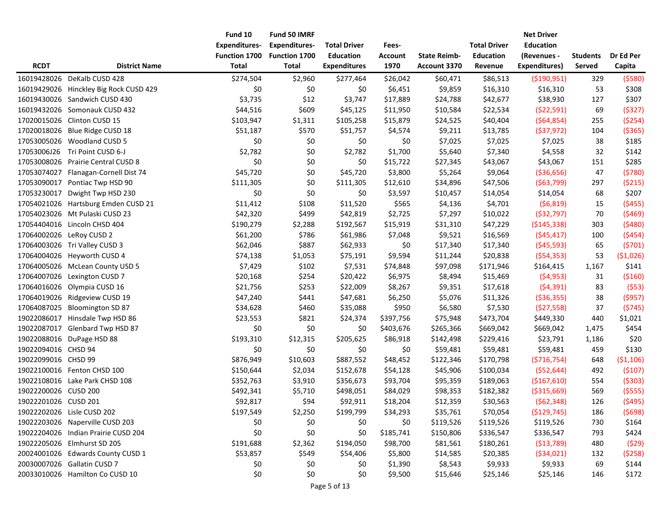|                      |                                        | Fund 10              | Fund 50 IMRF         |                     |                |                     |                     | <b>Net Driver</b>    |                 |            |
|----------------------|----------------------------------------|----------------------|----------------------|---------------------|----------------|---------------------|---------------------|----------------------|-----------------|------------|
|                      |                                        | <b>Expenditures-</b> | <b>Expenditures-</b> | <b>Total Driver</b> | Fees-          |                     | <b>Total Driver</b> | <b>Education</b>     |                 |            |
|                      |                                        | Function 1700        | Function 1700        | <b>Education</b>    | <b>Account</b> | <b>State Reimb-</b> | <b>Education</b>    | (Revenues -          | <b>Students</b> | Dr Ed Per  |
| <b>RCDT</b>          | <b>District Name</b>                   | <b>Total</b>         | <b>Total</b>         | <b>Expenditures</b> | 1970           | Account 3370        | Revenue             | <b>Expenditures)</b> | Served          | Capita     |
| 16019428026          | DeKalb CUSD 428                        | \$274,504            | \$2,960              | \$277,464           | \$26,042       | \$60,471            | \$86,513            | ( \$190, 951)        | 329             | (5580)     |
|                      | 16019429026 Hinckley Big Rock CUSD 429 | \$0                  | \$0                  | \$0                 | \$6,451        | \$9,859             | \$16,310            | \$16,310             | 53              | \$308      |
|                      | 16019430026 Sandwich CUSD 430          | \$3,735              | \$12                 | \$3,747             | \$17,889       | \$24,788            | \$42,677            | \$38,930             | 127             | \$307      |
|                      | 16019432026 Somonauk CUSD 432          | \$44,516             | \$609                | \$45,125            | \$11,950       | \$10,584            | \$22,534            | (522,591)            | 69              | (5327)     |
|                      | 17020015026 Clinton CUSD 15            | \$103,947            | \$1,311              | \$105,258           | \$15,879       | \$24,525            | \$40,404            | (564, 854)           | 255             | ( \$254)   |
| 17020018026          | Blue Ridge CUSD 18                     | \$51,187             | \$570                | \$51,757            | \$4,574        | \$9,211             | \$13,785            | ( \$37, 972)         | 104             | ( \$365)   |
|                      | 17053005026 Woodland CUSD 5            | \$0                  | \$0                  | \$0                 | \$0            | \$7,025             | \$7,025             | \$7,025              | 38              | \$185      |
| 17053006J26          | Tri Point CUSD 6-J                     | \$2,782              | \$0                  | \$2,782             | \$1,700        | \$5,640             | \$7,340             | \$4,558              | 32              | \$142      |
| 17053008026          | <b>Prairie Central CUSD 8</b>          | \$0                  | \$0                  | \$0                 | \$15,722       | \$27,345            | \$43,067            | \$43,067             | 151             | \$285      |
|                      | 17053074027 Flanagan-Cornell Dist 74   | \$45,720             | \$0                  | \$45,720            | \$3,800        | \$5,264             | \$9,064             | ( \$36, 656)         | 47              | (5780)     |
|                      | 17053090017 Pontiac Twp HSD 90         | \$111,305            | \$0                  | \$111,305           | \$12,610       | \$34,896            | \$47,506            | ( \$63,799)          | 297             | ( \$215)   |
| 17053230017          | Dwight Twp HSD 230                     | \$0                  | \$0                  | \$0                 | \$3,597        | \$10,457            | \$14,054            | \$14,054             | 68              | \$207      |
|                      | 17054021026 Hartsburg Emden CUSD 21    | \$11,412             | \$108                | \$11,520            | \$565          | \$4,136             | \$4,701             | (56, 819)            | 15              | (5455)     |
|                      | 17054023026 Mt Pulaski CUSD 23         | \$42,320             | \$499                | \$42,819            | \$2,725        | \$7,297             | \$10,022            | ( \$32,797)          | 70              | (5469)     |
|                      | 17054404016 Lincoln CHSD 404           | \$190,279            | \$2,288              | \$192,567           | \$15,919       | \$31,310            | \$47,229            | ( \$145, 338)        | 303             | (5480)     |
|                      | 17064002026 LeRoy CUSD 2               | \$61,200             | \$786                | \$61,986            | \$7,048        | \$9,521             | \$16,569            | (545, 417)           | 100             | (5454)     |
|                      | 17064003026 Tri Valley CUSD 3          | \$62,046             | \$887                | \$62,933            | \$0            | \$17,340            | \$17,340            | ( \$45,593)          | 65              | (5701)     |
|                      | 17064004026 Heyworth CUSD 4            | \$74,138             | \$1,053              | \$75,191            | \$9,594        | \$11,244            | \$20,838            | (554, 353)           | 53              | ( \$1,026) |
|                      | 17064005026 McLean County USD 5        | \$7,429              | \$102                | \$7,531             | \$74,848       | \$97,098            | \$171,946           | \$164,415            | 1,167           | \$141      |
| 17064007026          | Lexington CUSD 7                       | \$20,168             | \$254                | \$20,422            | \$6,975        | \$8,494             | \$15,469            | (54, 953)            | 31              | ( \$160)   |
| 17064016026          | Olympia CUSD 16                        | \$21,756             | \$253                | \$22,009            | \$8,267        | \$9,351             | \$17,618            | (54, 391)            | 83              | (553)      |
| 17064019026          | Ridgeview CUSD 19                      | \$47,240             | \$441                | \$47,681            | \$6,250        | \$5,076             | \$11,326            | ( \$36, 355)         | 38              | (5957)     |
| 17064087025          | <b>Bloomington SD 87</b>               | \$34,628             | \$460                | \$35,088            | \$950          | \$6,580             | \$7,530             | (527,558)            | 37              | (5745)     |
|                      | 19022086017 Hinsdale Twp HSD 86        | \$23,553             | \$821                | \$24,374            | \$397,756      | \$75,948            | \$473,704           | \$449,330            | 440             | \$1,021    |
| 19022087017          | Glenbard Twp HSD 87                    | \$0                  | \$0                  | \$0                 | \$403,676      | \$265,366           | \$669,042           | \$669,042            | 1,475           | \$454      |
|                      | 19022088016 DuPage HSD 88              | \$193,310            | \$12,315             | \$205,625           | \$86,918       | \$142,498           | \$229,416           | \$23,791             | 1,186           | \$20       |
| 19022094016 CHSD 94  |                                        | \$0                  | \$0                  | \$0                 | \$0            | \$59,481            | \$59,481            | \$59,481             | 459             | \$130      |
| 19022099016 CHSD 99  |                                        | \$876,949            | \$10,603             | \$887,552           | \$48,452       | \$122,346           | \$170,798           | (5716, 754)          | 648             | ( \$1,106) |
|                      | 19022100016 Fenton CHSD 100            | \$150,644            | \$2,034              | \$152,678           | \$54,128       | \$45,906            | \$100,034           | ( \$52, 644)         | 492             | (5107)     |
|                      | 19022108016 Lake Park CHSD 108         | \$352,763            | \$3,910              | \$356,673           | \$93,704       | \$95,359            | \$189,063           | (\$167,610)          | 554             | (5303)     |
| 19022200026 CUSD 200 |                                        | \$492,341            | \$5,710              | \$498,051           | \$84,029       | \$98,353            | \$182,382           | ( \$315,669)         | 569             | ( \$555)   |
| 19022201026 CUSD 201 |                                        | \$92,817             | \$94                 | \$92,911            | \$18,204       | \$12,359            | \$30,563            | (562, 348)           | 126             | (5495)     |
|                      | 19022202026 Lisle CUSD 202             | \$197,549            | \$2,250              | \$199,799           | \$34,293       | \$35,761            | \$70,054            | ( \$129, 745)        | 186             | (5698)     |
|                      | 19022203026 Naperville CUSD 203        | \$0                  | \$0                  | \$0                 | \$0            | \$119,526           | \$119,526           | \$119,526            | 730             | \$164      |
|                      | 19022204026 Indian Prairie CUSD 204    | \$0                  | \$0                  | \$0                 | \$185,741      | \$150,806           | \$336,547           | \$336,547            | 793             | \$424      |
|                      | 19022205026 Elmhurst SD 205            | \$191,688            | \$2,362              | \$194,050           | \$98,700       | \$81,561            | \$180,261           | ( \$13,789)          | 480             | (529)      |
|                      | 20024001026 Edwards County CUSD 1      | \$53,857             | \$549                | \$54,406            | \$5,800        | \$14,585            | \$20,385            | (534, 021)           | 132             | (5258)     |
|                      | 20030007026 Gallatin CUSD 7            | \$0                  | \$0                  | \$0                 | \$1,390        | \$8,543             | \$9,933             | \$9,933              | 69              | \$144      |
|                      | 20033010026 Hamilton Co CUSD 10        | \$0                  | \$0                  | \$0                 | \$9,500        | \$15,646            | \$25,146            | \$25,146             | 146             | \$172      |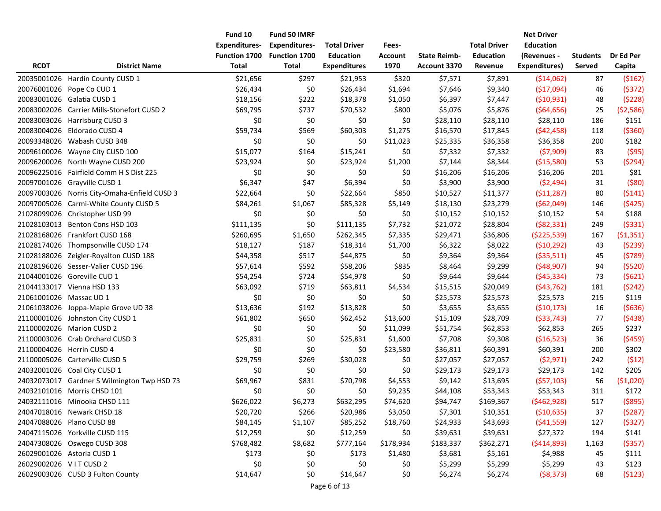|                         |                                              | Fund 10              | Fund 50 IMRF         |                     |                |                     |                     | <b>Net Driver</b>    |                 |            |
|-------------------------|----------------------------------------------|----------------------|----------------------|---------------------|----------------|---------------------|---------------------|----------------------|-----------------|------------|
|                         |                                              | <b>Expenditures-</b> | <b>Expenditures-</b> | <b>Total Driver</b> | Fees-          |                     | <b>Total Driver</b> | <b>Education</b>     |                 |            |
|                         |                                              | Function 1700        | Function 1700        | <b>Education</b>    | <b>Account</b> | <b>State Reimb-</b> | <b>Education</b>    | (Revenues -          | <b>Students</b> | Dr Ed Per  |
| <b>RCDT</b>             | <b>District Name</b>                         | <b>Total</b>         | <b>Total</b>         | <b>Expenditures</b> | 1970           | Account 3370        | Revenue             | <b>Expenditures)</b> | Served          | Capita     |
|                         | 20035001026 Hardin County CUSD 1             | \$21,656             | \$297                | \$21,953            | \$320          | \$7,571             | \$7,891             | ( \$14,062)          | 87              | (5162)     |
|                         | 20076001026 Pope Co CUD 1                    | \$26,434             | \$0                  | \$26,434            | \$1,694        | \$7,646             | \$9,340             | ( \$17,094)          | 46              | (5372)     |
|                         | 20083001026 Galatia CUSD 1                   | \$18,156             | \$222                | \$18,378            | \$1,050        | \$6,397             | \$7,447             | (510, 931)           | 48              | (5228)     |
|                         | 20083002026 Carrier Mills-Stonefort CUSD 2   | \$69,795             | \$737                | \$70,532            | \$800          | \$5,076             | \$5,876             | (564, 656)           | 25              | (52, 586)  |
|                         | 20083003026 Harrisburg CUSD 3                | \$0                  | \$0                  | \$0                 | \$0            | \$28,110            | \$28,110            | \$28,110             | 186             | \$151      |
|                         | 20083004026 Eldorado CUSD 4                  | \$59,734             | \$569                | \$60,303            | \$1,275        | \$16,570            | \$17,845            | (542, 458)           | 118             | ( \$360)   |
|                         | 20093348026 Wabash CUSD 348                  | \$0                  | \$0                  | \$0                 | \$11,023       | \$25,335            | \$36,358            | \$36,358             | 200             | \$182      |
|                         | 20096100026 Wayne City CUSD 100              | \$15,077             | \$164                | \$15,241            | \$0            | \$7,332             | \$7,332             | (57,909)             | 83              | (595)      |
|                         | 20096200026 North Wayne CUSD 200             | \$23,924             | \$0                  | \$23,924            | \$1,200        | \$7,144             | \$8,344             | ( \$15,580)          | 53              | (5294)     |
|                         | 20096225016 Fairfield Comm H S Dist 225      | \$0                  | \$0                  | \$0                 | \$0            | \$16,206            | \$16,206            | \$16,206             | 201             | \$81       |
|                         | 20097001026 Grayville CUSD 1                 | \$6,347              | \$47                 | \$6,394             | \$0            | \$3,900             | \$3,900             | (52, 494)            | 31              | ( \$80)    |
|                         | 20097003026 Norris City-Omaha-Enfield CUSD 3 | \$22,664             | \$0                  | \$22,664            | \$850          | \$10,527            | \$11,377            | (511, 287)           | 80              | (5141)     |
|                         | 20097005026 Carmi-White County CUSD 5        | \$84,261             | \$1,067              | \$85,328            | \$5,149        | \$18,130            | \$23,279            | (562,049)            | 146             | (5425)     |
|                         | 21028099026 Christopher USD 99               | \$0                  | \$0                  | \$0                 | \$0            | \$10,152            | \$10,152            | \$10,152             | 54              | \$188      |
|                         | 21028103013 Benton Cons HSD 103              | \$111,135            | \$0                  | \$111,135           | \$7,732        | \$21,072            | \$28,804            | (582, 331)           | 249             | ( \$331)   |
|                         | 21028168026 Frankfort CUSD 168               | \$260,695            | \$1,650              | \$262,345           | \$7,335        | \$29,471            | \$36,806            | ( \$225, 539)        | 167             | (51, 351)  |
|                         | 21028174026 Thompsonville CUSD 174           | \$18,127             | \$187                | \$18,314            | \$1,700        | \$6,322             | \$8,022             | (510, 292)           | 43              | (5239)     |
|                         | 21028188026 Zeigler-Royalton CUSD 188        | \$44,358             | \$517                | \$44,875            | \$0            | \$9,364             | \$9,364             | ( \$35,511)          | 45              | (5789)     |
|                         | 21028196026 Sesser-Valier CUSD 196           | \$57,614             | \$592                | \$58,206            | \$835          | \$8,464             | \$9,299             | (548, 907)           | 94              | (5520)     |
|                         | 21044001026 Goreville CUD 1                  | \$54,254             | \$724                | \$54,978            | \$0            | \$9,644             | \$9,644             | (545, 334)           | 73              | (5621)     |
|                         | 21044133017 Vienna HSD 133                   | \$63,092             | \$719                | \$63,811            | \$4,534        | \$15,515            | \$20,049            | (543, 762)           | 181             | (5242)     |
| 21061001026 Massac UD 1 |                                              | \$0                  | \$0                  | \$0                 | \$0            | \$25,573            | \$25,573            | \$25,573             | 215             | \$119      |
|                         | 21061038026 Joppa-Maple Grove UD 38          | \$13,636             | \$192                | \$13,828            | \$0            | \$3,655             | \$3,655             | ( \$10, 173)         | 16              | (5636)     |
|                         | 21100001026 Johnston City CUSD 1             | \$61,802             | \$650                | \$62,452            | \$13,600       | \$15,109            | \$28,709            | ( \$33, 743)         | 77              | (5438)     |
|                         | 21100002026 Marion CUSD 2                    | \$0                  | \$0                  | \$0                 | \$11,099       | \$51,754            | \$62,853            | \$62,853             | 265             | \$237      |
|                         | 21100003026 Crab Orchard CUSD 3              | \$25,831             | \$0                  | \$25,831            | \$1,600        | \$7,708             | \$9,308             | ( \$16, 523)         | 36              | (5459)     |
|                         | 21100004026 Herrin CUSD 4                    | \$0                  | \$0                  | \$0                 | \$23,580       | \$36,811            | \$60,391            | \$60,391             | 200             | \$302      |
|                         | 21100005026 Carterville CUSD 5               | \$29,759             | \$269                | \$30,028            | \$0            | \$27,057            | \$27,057            | (52, 971)            | 242             | (512)      |
|                         | 24032001026 Coal City CUSD 1                 | \$0                  | \$0                  | \$0                 | \$0            | \$29,173            | \$29,173            | \$29,173             | 142             | \$205      |
|                         | 24032073017 Gardner S Wilmington Twp HSD 73  | \$69,967             | \$831                | \$70,798            | \$4,553        | \$9,142             | \$13,695            | (557, 103)           | 56              | ( \$1,020) |
|                         | 24032101016 Morris CHSD 101                  | \$0                  | \$0                  | \$0                 | \$9,235        | \$44,108            | \$53,343            | \$53,343             | 311             | \$172      |
|                         | 24032111016 Minooka CHSD 111                 | \$626,022            | \$6,273              | \$632,295           | \$74,620       | \$94,747            | \$169,367           | (\$462,928)          | 517             | ( \$895)   |
|                         | 24047018016 Newark CHSD 18                   | \$20,720             | \$266                | \$20,986            | \$3,050        | \$7,301             | \$10,351            | ( \$10,635)          | 37              | (5287)     |
|                         | 24047088026 Plano CUSD 88                    | \$84,145             | \$1,107              | \$85,252            | \$18,760       | \$24,933            | \$43,693            | (541, 559)           | 127             | (\$327)    |
|                         | 24047115026 Yorkville CUSD 115               | \$12,259             | \$0                  | \$12,259            | \$0            | \$39,631            | \$39,631            | \$27,372             | 194             | \$141      |
|                         | 24047308026 Oswego CUSD 308                  | \$768,482            | \$8,682              | \$777,164           | \$178,934      | \$183,337           | \$362,271           | (5414,893)           | 1,163           | ( \$357)   |
|                         | 26029001026 Astoria CUSD 1                   | \$173                | \$0                  | \$173               | \$1,480        | \$3,681             | \$5,161             | \$4,988              | 45              | \$111      |
| 26029002026 VITCUSD 2   |                                              | \$0                  | \$0                  | \$0                 | \$0            | \$5,299             | \$5,299             | \$5,299              | 43              | \$123      |
|                         | 26029003026 CUSD 3 Fulton County             | \$14,647             | \$0                  | \$14,647            | \$0            | \$6,274             | \$6,274             | ( \$8,373)           | 68              | (5123)     |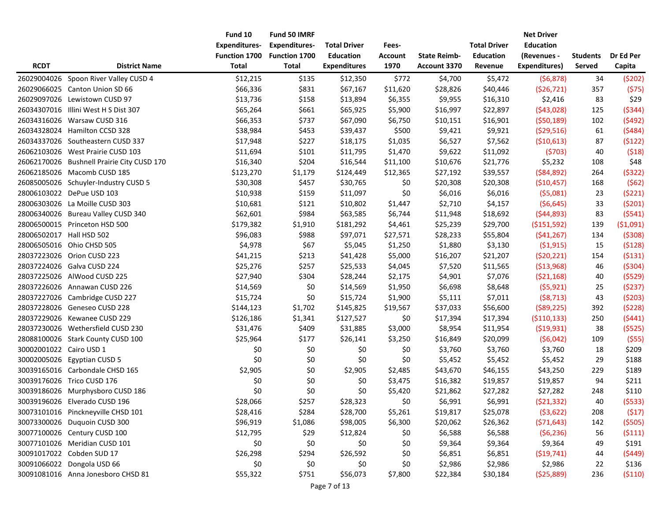|                          |                                            | Fund 10<br><b>Expenditures-</b> | Fund 50 IMRF<br><b>Expenditures-</b> | <b>Total Driver</b> | Fees-          |                     | <b>Total Driver</b> | <b>Net Driver</b><br><b>Education</b> |          |            |
|--------------------------|--------------------------------------------|---------------------------------|--------------------------------------|---------------------|----------------|---------------------|---------------------|---------------------------------------|----------|------------|
|                          |                                            | Function 1700                   | <b>Function 1700</b>                 | <b>Education</b>    | <b>Account</b> | <b>State Reimb-</b> | <b>Education</b>    | (Revenues -                           | Students | Dr Ed Per  |
| <b>RCDT</b>              | <b>District Name</b>                       | <b>Total</b>                    | <b>Total</b>                         | <b>Expenditures</b> | 1970           | Account 3370        | Revenue             | <b>Expenditures)</b>                  | Served   | Capita     |
|                          | 26029004026 Spoon River Valley CUSD 4      | \$12,215                        | \$135                                | \$12,350            | \$772          | \$4,700             | \$5,472             | (56, 878)                             | 34       | (5202)     |
|                          | 26029066025 Canton Union SD 66             | \$66,336                        | \$831                                | \$67,167            | \$11,620       | \$28,826            | \$40,446            | (526, 721)                            | 357      | (575)      |
|                          | 26029097026 Lewistown CUSD 97              | \$13,736                        | \$158                                | \$13,894            | \$6,355        | \$9,955             | \$16,310            | \$2,416                               | 83       | \$29       |
|                          | 26034307016 Illini West H S Dist 307       | \$65,264                        | \$661                                | \$65,925            | \$5,900        | \$16,997            | \$22,897            | (543,028)                             | 125      | (5344)     |
|                          | 26034316026 Warsaw CUSD 316                | \$66,353                        | \$737                                | \$67,090            | \$6,750        | \$10,151            | \$16,901            | (550, 189)                            | 102      | (5492)     |
|                          | 26034328024 Hamilton CCSD 328              | \$38,984                        | \$453                                | \$39,437            | \$500          | \$9,421             | \$9,921             | (529,516)                             | 61       | (5484)     |
|                          | 26034337026 Southeastern CUSD 337          | \$17,948                        | \$227                                | \$18,175            | \$1,035        | \$6,527             | \$7,562             | ( \$10,613)                           | 87       | (5122)     |
|                          | 26062103026 West Prairie CUSD 103          | \$11,694                        | \$101                                | \$11,795            | \$1,470        | \$9,622             | \$11,092            | (5703)                                | 40       | (518)      |
|                          | 26062170026 Bushnell Prairie City CUSD 170 | \$16,340                        | \$204                                | \$16,544            | \$11,100       | \$10,676            | \$21,776            | \$5,232                               | 108      | \$48       |
|                          | 26062185026 Macomb CUSD 185                | \$123,270                       | \$1,179                              | \$124,449           | \$12,365       | \$27,192            | \$39,557            | ( \$84, 892)                          | 264      | (5322)     |
|                          | 26085005026 Schuyler-Industry CUSD 5       | \$30,308                        | \$457                                | \$30,765            | \$0            | \$20,308            | \$20,308            | ( \$10,457)                           | 168      | (562)      |
|                          | 28006103022 DePue USD 103                  | \$10,938                        | \$159                                | \$11,097            | \$0            | \$6,016             | \$6,016             | (55,081)                              | 23       | (5221)     |
|                          | 28006303026 La Moille CUSD 303             | \$10,681                        | \$121                                | \$10,802            | \$1,447        | \$2,710             | \$4,157             | (56, 645)                             | 33       | (5201)     |
|                          | 28006340026 Bureau Valley CUSD 340         | \$62,601                        | \$984                                | \$63,585            | \$6,744        | \$11,948            | \$18,692            | (544,893)                             | 83       | (5541)     |
|                          | 28006500015 Princeton HSD 500              | \$179,382                       | \$1,910                              | \$181,292           | \$4,461        | \$25,239            | \$29,700            | ( \$151, 592)                         | 139      | ( \$1,091) |
| 28006502017 Hall HSD 502 |                                            | \$96,083                        | \$988                                | \$97,071            | \$27,571       | \$28,233            | \$55,804            | (541, 267)                            | 134      | (5308)     |
|                          | 28006505016 Ohio CHSD 505                  | \$4,978                         | \$67                                 | \$5,045             | \$1,250        | \$1,880             | \$3,130             | (51, 915)                             | 15       | (5128)     |
|                          | 28037223026 Orion CUSD 223                 | \$41,215                        | \$213                                | \$41,428            | \$5,000        | \$16,207            | \$21,207            | (520, 221)                            | 154      | (5131)     |
|                          | 28037224026 Galva CUSD 224                 | \$25,276                        | \$257                                | \$25,533            | \$4,045        | \$7,520             | \$11,565            | ( \$13,968)                           | 46       | ( \$304)   |
|                          | 28037225026 AlWood CUSD 225                | \$27,940                        | \$304                                | \$28,244            | \$2,175        | \$4,901             | \$7,076             | ( \$21,168)                           | 40       | (5529)     |
|                          | 28037226026 Annawan CUSD 226               | \$14,569                        | \$0                                  | \$14,569            | \$1,950        | \$6,698             | \$8,648             | (55, 921)                             | 25       | (5237)     |
|                          | 28037227026 Cambridge CUSD 227             | \$15,724                        | \$0                                  | \$15,724            | \$1,900        | \$5,111             | \$7,011             | (58, 713)                             | 43       | (5203)     |
|                          | 28037228026 Geneseo CUSD 228               | \$144,123                       | \$1,702                              | \$145,825           | \$19,567       | \$37,033            | \$56,600            | $($ \$89,225)                         | 392      | (5228)     |
|                          | 28037229026 Kewanee CUSD 229               | \$126,186                       | \$1,341                              | \$127,527           | \$0            | \$17,394            | \$17,394            | ( \$110, 133)                         | 250      | (5441)     |
|                          | 28037230026 Wethersfield CUSD 230          | \$31,476                        | \$409                                | \$31,885            | \$3,000        | \$8,954             | \$11,954            | (519, 931)                            | 38       | (5525)     |
|                          | 28088100026 Stark County CUSD 100          | \$25,964                        | \$177                                | \$26,141            | \$3,250        | \$16,849            | \$20,099            | (56,042)                              | 109      | $($ \$55)  |
| 30002001022 Cairo USD 1  |                                            | \$0                             | \$0                                  | \$0                 | \$0            | \$3,760             | \$3,760             | \$3,760                               | 18       | \$209      |
|                          | 30002005026 Egyptian CUSD 5                | \$0                             | \$0                                  | \$0                 | \$0            | \$5,452             | \$5,452             | \$5,452                               | 29       | \$188      |
|                          | 30039165016 Carbondale CHSD 165            | \$2,905                         | \$0                                  | \$2,905             | \$2,485        | \$43,670            | \$46,155            | \$43,250                              | 229      | \$189      |
|                          | 30039176026 Trico CUSD 176                 | \$0                             | \$0                                  | \$0                 | \$3,475        | \$16,382            | \$19,857            | \$19,857                              | 94       | \$211      |
|                          | 30039186026 Murphysboro CUSD 186           | \$0                             | \$0                                  | \$0                 | \$5,420        | \$21,862            | \$27,282            | \$27,282                              | 248      | \$110      |
|                          | 30039196026 Elverado CUSD 196              | \$28,066                        | \$257                                | \$28,323            | \$0            | \$6,991             | \$6,991             | (521, 332)                            | 40       | (5533)     |
|                          | 30073101016 Pinckneyville CHSD 101         | \$28,416                        | \$284                                | \$28,700            | \$5,261        | \$19,817            | \$25,078            | (53, 622)                             | 208      | (517)      |
|                          | 30073300026 Duquoin CUSD 300               | \$96,919                        | \$1,086                              | \$98,005            | \$6,300        | \$20,062            | \$26,362            | (571, 643)                            | 142      | (5505)     |
|                          | 30077100026 Century CUSD 100               | \$12,795                        | \$29                                 | \$12,824            | \$0            | \$6,588             | \$6,588             | (56, 236)                             | 56       | (5111)     |
|                          | 30077101026 Meridian CUSD 101              | \$0                             | \$0                                  | \$0                 | \$0            | \$9,364             | \$9,364             | \$9,364                               | 49       | \$191      |
|                          | 30091017022 Cobden SUD 17                  | \$26,298                        | \$294                                | \$26,592            | \$0            | \$6,851             | \$6,851             | (519, 741)                            | 44       | (5449)     |
|                          | 30091066022 Dongola USD 66                 | \$0                             | \$0                                  | \$0                 | \$0            | \$2,986             | \$2,986             | \$2,986                               | 22       | \$136      |
|                          | 30091081016 Anna Jonesboro CHSD 81         | \$55,322                        | \$751                                | \$56,073            | \$7,800        | \$22,384            | \$30,184            | (525,889)                             | 236      | (5110)     |
|                          |                                            |                                 |                                      |                     |                |                     |                     |                                       |          |            |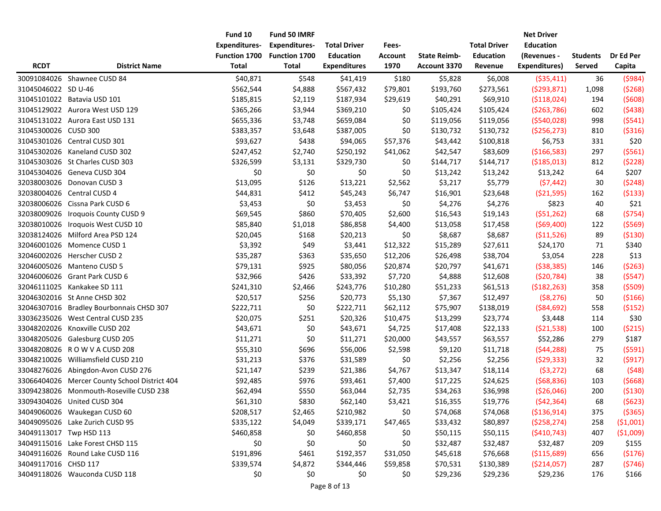|                         |                                               | Fund 10              | Fund 50 IMRF         |                     |                |                     |                     | <b>Net Driver</b>    |                 |            |
|-------------------------|-----------------------------------------------|----------------------|----------------------|---------------------|----------------|---------------------|---------------------|----------------------|-----------------|------------|
|                         |                                               | <b>Expenditures-</b> | <b>Expenditures-</b> | <b>Total Driver</b> | Fees-          |                     | <b>Total Driver</b> | <b>Education</b>     |                 |            |
|                         |                                               | Function 1700        | Function 1700        | <b>Education</b>    | <b>Account</b> | <b>State Reimb-</b> | <b>Education</b>    | (Revenues -          | <b>Students</b> | Dr Ed Per  |
| <b>RCDT</b>             | <b>District Name</b>                          | <b>Total</b>         | <b>Total</b>         | <b>Expenditures</b> | 1970           | Account 3370        | Revenue             | <b>Expenditures)</b> | Served          | Capita     |
|                         | 30091084026 Shawnee CUSD 84                   | \$40,871             | \$548                | \$41,419            | \$180          | \$5,828             | \$6,008             | ( \$35,411)          | 36              | (5984)     |
| 31045046022 SD U-46     |                                               | \$562,544            | \$4,888              | \$567,432           | \$79,801       | \$193,760           | \$273,561           | (5293, 871)          | 1,098           | (5268)     |
|                         | 31045101022 Batavia USD 101                   | \$185,815            | \$2,119              | \$187,934           | \$29,619       | \$40,291            | \$69,910            | ( \$118,024)         | 194             | (5608)     |
|                         | 31045129022 Aurora West USD 129               | \$365,266            | \$3,944              | \$369,210           | \$0            | \$105,424           | \$105,424           | ( \$263, 786)        | 602             | (5438)     |
|                         | 31045131022 Aurora East USD 131               | \$655,336            | \$3,748              | \$659,084           | \$0            | \$119,056           | \$119,056           | (5540, 028)          | 998             | (5541)     |
| 31045300026 CUSD 300    |                                               | \$383,357            | \$3,648              | \$387,005           | \$0            | \$130,732           | \$130,732           | ( \$256, 273)        | 810             | ( \$316)   |
|                         | 31045301026 Central CUSD 301                  | \$93,627             | \$438                | \$94,065            | \$57,376       | \$43,442            | \$100,818           | \$6,753              | 331             | \$20       |
|                         | 31045302026 Kaneland CUSD 302                 | \$247,452            | \$2,740              | \$250,192           | \$41,062       | \$42,547            | \$83,609            | ( \$166, 583)        | 297             | (5561)     |
|                         | 31045303026 St Charles CUSD 303               | \$326,599            | \$3,131              | \$329,730           | \$0            | \$144,717           | \$144,717           | ( \$185,013)         | 812             | (5228)     |
|                         | 31045304026 Geneva CUSD 304                   | \$0                  | \$0                  | \$0                 | \$0            | \$13,242            | \$13,242            | \$13,242             | 64              | \$207      |
|                         | 32038003026 Donovan CUSD 3                    | \$13,095             | \$126                | \$13,221            | \$2,562        | \$3,217             | \$5,779             | (57, 442)            | 30              | (5248)     |
|                         | 32038004026 Central CUSD 4                    | \$44,831             | \$412                | \$45,243            | \$6,747        | \$16,901            | \$23,648            | ( \$21,595)          | 162             | ( \$133)   |
|                         | 32038006026 Cissna Park CUSD 6                | \$3,453              | \$0                  | \$3,453             | \$0            | \$4,276             | \$4,276             | \$823                | 40              | \$21       |
|                         | 32038009026 Iroquois County CUSD 9            | \$69,545             | \$860                | \$70,405            | \$2,600        | \$16,543            | \$19,143            | (551, 262)           | 68              | (5754)     |
|                         | 32038010026 Iroquois West CUSD 10             | \$85,840             | \$1,018              | \$86,858            | \$4,400        | \$13,058            | \$17,458            | (569,400)            | 122             | ( \$569)   |
|                         | 32038124026 Milford Area PSD 124              | \$20,045             | \$168                | \$20,213            | \$0            | \$8,687             | \$8,687             | ( \$11,526)          | 89              | ( \$130)   |
|                         | 32046001026 Momence CUSD 1                    | \$3,392              | \$49                 | \$3,441             | \$12,322       | \$15,289            | \$27,611            | \$24,170             | 71              | \$340      |
|                         | 32046002026 Herscher CUSD 2                   | \$35,287             | \$363                | \$35,650            | \$12,206       | \$26,498            | \$38,704            | \$3,054              | 228             | \$13       |
|                         | 32046005026 Manteno CUSD 5                    | \$79,131             | \$925                | \$80,056            | \$20,874       | \$20,797            | \$41,671            | ( \$38, 385)         | 146             | (5263)     |
|                         | 32046006026 Grant Park CUSD 6                 | \$32,966             | \$426                | \$33,392            | \$7,720        | \$4,888             | \$12,608            | (520, 784)           | 38              | (5547)     |
|                         | 32046111025 Kankakee SD 111                   | \$241,310            | \$2,466              | \$243,776           | \$10,280       | \$51,233            | \$61,513            | (5182, 263)          | 358             | (5509)     |
|                         | 32046302016 St Anne CHSD 302                  | \$20,517             | \$256                | \$20,773            | \$5,130        | \$7,367             | \$12,497            | ( \$8, 276)          | 50              | ( \$166)   |
|                         | 32046307016 Bradley Bourbonnais CHSD 307      | \$222,711            | \$0                  | \$222,711           | \$62,112       | \$75,907            | \$138,019           | ( \$84, 692)         | 558             | ( \$152)   |
|                         | 33036235026 West Central CUSD 235             | \$20,075             | \$251                | \$20,326            | \$10,475       | \$13,299            | \$23,774            | \$3,448              | 114             | \$30       |
|                         | 33048202026 Knoxville CUSD 202                | \$43,671             | \$0                  | \$43,671            | \$4,725        | \$17,408            | \$22,133            | (521, 538)           | 100             | ( \$215)   |
|                         | 33048205026 Galesburg CUSD 205                | \$11,271             | \$0                  | \$11,271            | \$20,000       | \$43,557            | \$63,557            | \$52,286             | 279             | \$187      |
|                         | 33048208026 ROWVACUSD 208                     | \$55,310             | \$696                | \$56,006            | \$2,598        | \$9,120             | \$11,718            | (544, 288)           | 75              | (5591)     |
|                         | 33048210026 Williamsfield CUSD 210            | \$31,213             | \$376                | \$31,589            | \$0            | \$2,256             | \$2,256             | (529, 333)           | 32              | (5917)     |
|                         | 33048276026 Abingdon-Avon CUSD 276            | \$21,147             | \$239                | \$21,386            | \$4,767        | \$13,347            | \$18,114            | (53, 272)            | 68              | (548)      |
|                         | 33066404026 Mercer County School District 404 | \$92,485             | \$976                | \$93,461            | \$7,400        | \$17,225            | \$24,625            | (568, 836)           | 103             | (5668)     |
|                         | 33094238026 Monmouth-Roseville CUSD 238       | \$62,494             | \$550                | \$63,044            | \$2,735        | \$34,263            | \$36,998            | ( \$26,046)          | 200             | ( \$130)   |
|                         | 33094304026 United CUSD 304                   | \$61,310             | \$830                | \$62,140            | \$3,421        | \$16,355            | \$19,776            | (542, 364)           | 68              | (5623)     |
|                         | 34049060026 Waukegan CUSD 60                  | \$208,517            | \$2,465              | \$210,982           | \$0            | \$74,068            | \$74,068            | ( \$136, 914)        | 375             | ( \$365)   |
|                         | 34049095026 Lake Zurich CUSD 95               | \$335,122            | \$4,049              | \$339,171           | \$47,465       | \$33,432            | \$80,897            | ( \$258, 274)        | 258             | ( \$1,001) |
| 34049113017 Twp HSD 113 |                                               | \$460,858            | \$0                  | \$460,858           | \$0            | \$50,115            | \$50,115            | ( \$410, 743)        | 407             | ( \$1,009) |
|                         | 34049115016 Lake Forest CHSD 115              | \$0                  | \$0                  | \$0                 | \$0            | \$32,487            | \$32,487            | \$32,487             | 209             | \$155      |
|                         | 34049116026 Round Lake CUSD 116               | \$191,896            | \$461                | \$192,357           | \$31,050       | \$45,618            | \$76,668            | ( \$115,689)         | 656             | (5176)     |
| 34049117016 CHSD 117    |                                               | \$339,574            | \$4,872              | \$344,446           | \$59,858       | \$70,531            | \$130,389           | ( \$214,057)         | 287             | (5746)     |
|                         | 34049118026 Wauconda CUSD 118                 | \$0                  | \$0                  | \$0                 | \$0            | \$29,236            | \$29,236            | \$29,236             | 176             | \$166      |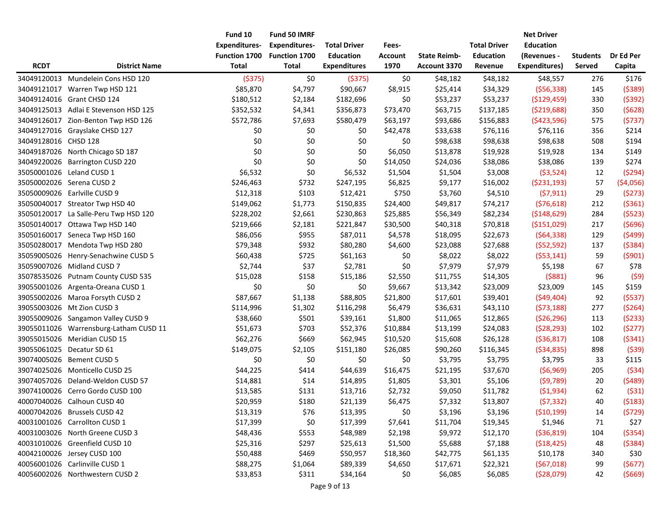|                      |                                        | Fund 10              | Fund 50 IMRF         |                     |                |                     |                     | <b>Net Driver</b>    |                 |            |
|----------------------|----------------------------------------|----------------------|----------------------|---------------------|----------------|---------------------|---------------------|----------------------|-----------------|------------|
|                      |                                        | <b>Expenditures-</b> | <b>Expenditures-</b> | <b>Total Driver</b> | Fees-          |                     | <b>Total Driver</b> | <b>Education</b>     |                 |            |
|                      |                                        | Function 1700        | <b>Function 1700</b> | <b>Education</b>    | <b>Account</b> | <b>State Reimb-</b> | <b>Education</b>    | (Revenues -          | <b>Students</b> | Dr Ed Per  |
| <b>RCDT</b>          | <b>District Name</b>                   | <b>Total</b>         | <b>Total</b>         | <b>Expenditures</b> | 1970           | Account 3370        | Revenue             | <b>Expenditures)</b> | Served          | Capita     |
|                      | 34049120013 Mundelein Cons HSD 120     | ( \$375)             | \$0                  | ( \$375)            | \$0            | \$48,182            | \$48,182            | \$48,557             | 276             | \$176      |
|                      | 34049121017 Warren Twp HSD 121         | \$85,870             | \$4,797              | \$90,667            | \$8,915        | \$25,414            | \$34,329            | (556, 338)           | 145             | (5389)     |
|                      | 34049124016 Grant CHSD 124             | \$180,512            | \$2,184              | \$182,696           | \$0            | \$53,237            | \$53,237            | ( \$129, 459)        | 330             | (5392)     |
|                      | 34049125013 Adlai E Stevenson HSD 125  | \$352,532            | \$4,341              | \$356,873           | \$73,470       | \$63,715            | \$137,185           | ( \$219,688)         | 350             | (5628)     |
|                      | 34049126017 Zion-Benton Twp HSD 126    | \$572,786            | \$7,693              | \$580,479           | \$63,197       | \$93,686            | \$156,883           | (\$423,596)          | 575             | (5737)     |
|                      | 34049127016 Grayslake CHSD 127         | \$0                  | \$0                  | \$0                 | \$42,478       | \$33,638            | \$76,116            | \$76,116             | 356             | \$214      |
| 34049128016 CHSD 128 |                                        | \$0                  | \$0                  | \$0                 | \$0            | \$98,638            | \$98,638            | \$98,638             | 508             | \$194      |
|                      | 34049187026 North Chicago SD 187       | \$0                  | \$0                  | \$0                 | \$6,050        | \$13,878            | \$19,928            | \$19,928             | 134             | \$149      |
| 34049220026          | <b>Barrington CUSD 220</b>             | \$0                  | \$0                  | \$0                 | \$14,050       | \$24,036            | \$38,086            | \$38,086             | 139             | \$274      |
| 35050001026          | Leland CUSD 1                          | \$6,532              | \$0                  | \$6,532             | \$1,504        | \$1,504             | \$3,008             | ( \$3,524)           | 12              | (5294)     |
|                      | 35050002026 Serena CUSD 2              | \$246,463            | \$732                | \$247,195           | \$6,825        | \$9,177             | \$16,002            | (5231, 193)          | 57              | ( \$4,056) |
|                      | 35050009026 Earlville CUSD 9           | \$12,318             | \$103                | \$12,421            | \$750          | \$3,760             | \$4,510             | (57, 911)            | 29              | (5273)     |
|                      | 35050040017 Streator Twp HSD 40        | \$149,062            | \$1,773              | \$150,835           | \$24,400       | \$49,817            | \$74,217            | (576, 618)           | 212             | (5361)     |
|                      | 35050120017 La Salle-Peru Twp HSD 120  | \$228,202            | \$2,661              | \$230,863           | \$25,885       | \$56,349            | \$82,234            | ( \$148, 629)        | 284             | (5523)     |
|                      | 35050140017 Ottawa Twp HSD 140         | \$219,666            | \$2,181              | \$221,847           | \$30,500       | \$40,318            | \$70,818            | ( \$151,029)         | 217             | (5696)     |
|                      | 35050160017 Seneca Twp HSD 160         | \$86,056             | \$955                | \$87,011            | \$4,578        | \$18,095            | \$22,673            | (564, 338)           | 129             | (5499)     |
|                      | 35050280017 Mendota Twp HSD 280        | \$79,348             | \$932                | \$80,280            | \$4,600        | \$23,088            | \$27,688            | (552, 592)           | 137             | (5384)     |
|                      | 35059005026 Henry-Senachwine CUSD 5    | \$60,438             | \$725                | \$61,163            | \$0            | \$8,022             | \$8,022             | (553, 141)           | 59              | (5901)     |
|                      | 35059007026 Midland CUSD 7             | \$2,744              | \$37                 | \$2,781             | \$0            | \$7,979             | \$7,979             | \$5,198              | 67              | \$78       |
|                      | 35078535026 Putnam County CUSD 535     | \$15,028             | \$158                | \$15,186            | \$2,550        | \$11,755            | \$14,305            | (5881)               | 96              | (59)       |
| 39055001026          | Argenta-Oreana CUSD 1                  | \$0                  | \$0                  | \$0                 | \$9,667        | \$13,342            | \$23,009            | \$23,009             | 145             | \$159      |
|                      | 39055002026 Maroa Forsyth CUSD 2       | \$87,667             | \$1,138              | \$88,805            | \$21,800       | \$17,601            | \$39,401            | (549, 404)           | 92              | (5537)     |
|                      | 39055003026 Mt Zion CUSD 3             | \$114,996            | \$1,302              | \$116,298           | \$6,479        | \$36,631            | \$43,110            | (573, 188)           | 277             | (5264)     |
|                      | 39055009026 Sangamon Valley CUSD 9     | \$38,660             | \$501                | \$39,161            | \$1,800        | \$11,065            | \$12,865            | (526, 296)           | 113             | (5233)     |
|                      | 39055011026 Warrensburg-Latham CUSD 11 | \$51,673             | \$703                | \$52,376            | \$10,884       | \$13,199            | \$24,083            | (528, 293)           | 102             | (5277)     |
|                      | 39055015026 Meridian CUSD 15           | \$62,276             | \$669                | \$62,945            | \$10,520       | \$15,608            | \$26,128            | ( \$36, 817)         | 108             | (5341)     |
| 39055061025          | Decatur SD 61                          | \$149,075            | \$2,105              | \$151,180           | \$26,085       | \$90,260            | \$116,345           | ( \$34, 835)         | 898             | (539)      |
|                      | 39074005026 Bement CUSD 5              | \$0                  | \$0                  | \$0                 | \$0            | \$3,795             | \$3,795             | \$3,795              | 33              | \$115      |
|                      | 39074025026 Monticello CUSD 25         | \$44,225             | \$414                | \$44,639            | \$16,475       | \$21,195            | \$37,670            | (56,969)             | 205             | (534)      |
|                      | 39074057026 Deland-Weldon CUSD 57      | \$14,881             | \$14                 | \$14,895            | \$1,805        | \$3,301             | \$5,106             | (59, 789)            | 20              | (5489)     |
|                      | 39074100026 Cerro Gordo CUSD 100       | \$13,585             | \$131                | \$13,716            | \$2,732        | \$9,050             | \$11,782            | ( \$1,934)           | 62              | (531)      |
|                      | 40007040026 Calhoun CUSD 40            | \$20,959             | \$180                | \$21,139            | \$6,475        | \$7,332             | \$13,807            | (57, 332)            | 40              | (5183)     |
|                      | 40007042026 Brussels CUSD 42           | \$13,319             | \$76                 | \$13,395            | \$0            | \$3,196             | \$3,196             | ( \$10, 199)         | 14              | (5729)     |
|                      | 40031001026 Carrollton CUSD 1          | \$17,399             | \$0                  | \$17,399            | \$7,641        | \$11,704            | \$19,345            | \$1,946              | 71              | \$27       |
|                      | 40031003026 North Greene CUSD 3        | \$48,436             | \$553                | \$48,989            | \$2,198        | \$9,972             | \$12,170            | ( \$36, 819)         | 104             | ( \$354)   |
|                      | 40031010026 Greenfield CUSD 10         | \$25,316             | \$297                | \$25,613            | \$1,500        | \$5,688             | \$7,188             | (518, 425)           | 48              | (5384)     |
|                      | 40042100026 Jersey CUSD 100            | \$50,488             | \$469                | \$50,957            | \$18,360       | \$42,775            | \$61,135            | \$10,178             | 340             | \$30       |
|                      | 40056001026 Carlinville CUSD 1         | \$88,275             | \$1,064              | \$89,339            | \$4,650        | \$17,671            | \$22,321            | (567,018)            | 99              | (5677)     |
|                      | 40056002026 Northwestern CUSD 2        | \$33,853             | \$311                | \$34,164            | \$0            | \$6,085             | \$6,085             | (528,079)            | 42              | (5669)     |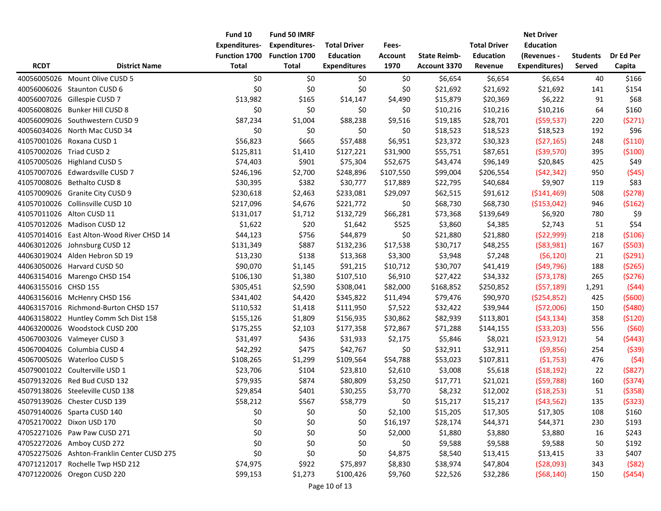|                          |                                             | Fund 10              | Fund 50 IMRF         |                     |                |                     |                     | <b>Net Driver</b>    |                 |           |
|--------------------------|---------------------------------------------|----------------------|----------------------|---------------------|----------------|---------------------|---------------------|----------------------|-----------------|-----------|
|                          |                                             | <b>Expenditures-</b> | <b>Expenditures-</b> | <b>Total Driver</b> | Fees-          |                     | <b>Total Driver</b> | <b>Education</b>     |                 |           |
|                          |                                             | Function 1700        | Function 1700        | <b>Education</b>    | <b>Account</b> | <b>State Reimb-</b> | <b>Education</b>    | (Revenues -          | <b>Students</b> | Dr Ed Per |
| <b>RCDT</b>              | <b>District Name</b>                        | <b>Total</b>         | <b>Total</b>         | <b>Expenditures</b> | 1970           | Account 3370        | Revenue             | <b>Expenditures)</b> | Served          | Capita    |
|                          | 40056005026 Mount Olive CUSD 5              | \$0                  | \$0                  | \$0                 | \$0            | \$6,654             | \$6,654             | \$6,654              | 40              | \$166     |
|                          | 40056006026 Staunton CUSD 6                 | \$0                  | \$0                  | \$0                 | \$0            | \$21,692            | \$21,692            | \$21,692             | 141             | \$154     |
|                          | 40056007026 Gillespie CUSD 7                | \$13,982             | \$165                | \$14,147            | \$4,490        | \$15,879            | \$20,369            | \$6,222              | 91              | \$68      |
|                          | 40056008026 Bunker Hill CUSD 8              | \$0                  | \$0                  | \$0                 | \$0            | \$10,216            | \$10,216            | \$10,216             | 64              | \$160     |
|                          | 40056009026 Southwestern CUSD 9             | \$87,234             | \$1,004              | \$88,238            | \$9,516        | \$19,185            | \$28,701            | (559, 537)           | 220             | (5271)    |
|                          | 40056034026 North Mac CUSD 34               | \$0                  | \$0                  | \$0                 | \$0            | \$18,523            | \$18,523            | \$18,523             | 192             | \$96      |
|                          | 41057001026 Roxana CUSD 1                   | \$56,823             | \$665                | \$57,488            | \$6,951        | \$23,372            | \$30,323            | (527, 165)           | 248             | ( \$110)  |
| 41057002026 Triad CUSD 2 |                                             | \$125,811            | \$1,410              | \$127,221           | \$31,900       | \$55,751            | \$87,651            | ( \$39,570)          | 395             | (5100)    |
|                          | 41057005026 Highland CUSD 5                 | \$74,403             | \$901                | \$75,304            | \$52,675       | \$43,474            | \$96,149            | \$20,845             | 425             | \$49      |
|                          | 41057007026 Edwardsville CUSD 7             | \$246,196            | \$2,700              | \$248,896           | \$107,550      | \$99,004            | \$206,554           | (542, 342)           | 950             | (545)     |
|                          | 41057008026 Bethalto CUSD 8                 | \$30,395             | \$382                | \$30,777            | \$17,889       | \$22,795            | \$40,684            | \$9,907              | 119             | \$83      |
|                          | 41057009026 Granite City CUSD 9             | \$230,618            | \$2,463              | \$233,081           | \$29,097       | \$62,515            | \$91,612            | ( \$141, 469)        | 508             | (5278)    |
|                          | 41057010026 Collinsville CUSD 10            | \$217,096            | \$4,676              | \$221,772           | \$0            | \$68,730            | \$68,730            | ( \$153,042)         | 946             | (5162)    |
|                          | 41057011026 Alton CUSD 11                   | \$131,017            | \$1,712              | \$132,729           | \$66,281       | \$73,368            | \$139,649           | \$6,920              | 780             | \$9       |
|                          | 41057012026 Madison CUSD 12                 | \$1,622              | \$20                 | \$1,642             | \$525          | \$3,860             | \$4,385             | \$2,743              | 51              | \$54      |
|                          | 41057014016 East Alton-Wood River CHSD 14   | \$44,123             | \$756                | \$44,879            | \$0            | \$21,880            | \$21,880            | (522,999)            | 218             | ( \$106)  |
|                          | 44063012026 Johnsburg CUSD 12               | \$131,349            | \$887                | \$132,236           | \$17,538       | \$30,717            | \$48,255            | ( \$83, 981)         | 167             | (5503)    |
|                          | 44063019024 Alden Hebron SD 19              | \$13,230             | \$138                | \$13,368            | \$3,300        | \$3,948             | \$7,248             | (56, 120)            | 21              | (5291)    |
|                          | 44063050026 Harvard CUSD 50                 | \$90,070             | \$1,145              | \$91,215            | \$10,712       | \$30,707            | \$41,419            | (549, 796)           | 188             | ( \$265)  |
|                          | 44063154016 Marengo CHSD 154                | \$106,130            | \$1,380              | \$107,510           | \$6,910        | \$27,422            | \$34,332            | (573, 178)           | 265             | (5276)    |
| 44063155016 CHSD 155     |                                             | \$305,451            | \$2,590              | \$308,041           | \$82,000       | \$168,852           | \$250,852           | (557, 189)           | 1,291           | (544)     |
|                          | 44063156016 McHenry CHSD 156                | \$341,402            | \$4,420              | \$345,822           | \$11,494       | \$79,476            | \$90,970            | ( \$254, 852)        | 425             | (5600)    |
|                          | 44063157016 Richmond-Burton CHSD 157        | \$110,532            | \$1,418              | \$111,950           | \$7,522        | \$32,422            | \$39,944            | (572,006)            | 150             | (5480)    |
|                          | 44063158022 Huntley Comm Sch Dist 158       | \$155,126            | \$1,809              | \$156,935           | \$30,862       | \$82,939            | \$113,801           | (543, 134)           | 358             | (5120)    |
|                          | 44063200026 Woodstock CUSD 200              | \$175,255            | \$2,103              | \$177,358           | \$72,867       | \$71,288            | \$144,155           | ( \$33, 203)         | 556             | (560)     |
|                          | 45067003026 Valmeyer CUSD 3                 | \$31,497             | \$436                | \$31,933            | \$2,175        | \$5,846             | \$8,021             | (523, 912)           | 54              | (5443)    |
|                          | 45067004026 Columbia CUSD 4                 | \$42,292             | \$475                | \$42,767            | \$0            | \$32,911            | \$32,911            | (59,856)             | 254             | (539)     |
|                          | 45067005026 Waterloo CUSD 5                 | \$108,265            | \$1,299              | \$109,564           | \$54,788       | \$53,023            | \$107,811           | (51, 753)            | 476             | (54)      |
|                          | 45079001022 Coulterville USD 1              | \$23,706             | \$104                | \$23,810            | \$2,610        | \$3,008             | \$5,618             | (518, 192)           | 22              | (5827)    |
|                          | 45079132026 Red Bud CUSD 132                | \$79,935             | \$874                | \$80,809            | \$3,250        | \$17,771            | \$21,021            | (559, 788)           | 160             | (5374)    |
|                          | 45079138026 Steeleville CUSD 138            | \$29,854             | \$401                | \$30,255            | \$3,770        | \$8,232             | \$12,002            | (518, 253)           | 51              | ( \$358)  |
|                          | 45079139026 Chester CUSD 139                | \$58,212             | \$567                | \$58,779            | \$0            | \$15,217            | \$15,217            | ( \$43, 562)         | 135             | (5323)    |
|                          | 45079140026 Sparta CUSD 140                 | \$0                  | \$0                  | \$0                 | \$2,100        | \$15,205            | \$17,305            | \$17,305             | 108             | \$160     |
|                          | 47052170022 Dixon USD 170                   | \$0                  | \$0                  | \$0                 | \$16,197       | \$28,174            | \$44,371            | \$44,371             | 230             | \$193     |
|                          | 47052271026 Paw Paw CUSD 271                | \$0                  | \$0                  | \$0                 | \$2,000        | \$1,880             | \$3,880             | \$3,880              | 16              | \$243     |
|                          | 47052272026 Amboy CUSD 272                  | \$0                  | \$0                  | \$0                 | \$0            | \$9,588             | \$9,588             | \$9,588              | 50              | \$192     |
|                          | 47052275026 Ashton-Franklin Center CUSD 275 | \$0                  | \$0                  | \$0                 | \$4,875        | \$8,540             | \$13,415            | \$13,415             | 33              | \$407     |
|                          | 47071212017 Rochelle Twp HSD 212            | \$74,975             | \$922                | \$75,897            | \$8,830        | \$38,974            | \$47,804            | (528,093)            | 343             | $($ \$82) |
|                          | 47071220026 Oregon CUSD 220                 | \$99,153             | \$1,273              | \$100,426           | \$9,760        | \$22,526            | \$32,286            | (568, 140)           | 150             | (5454)    |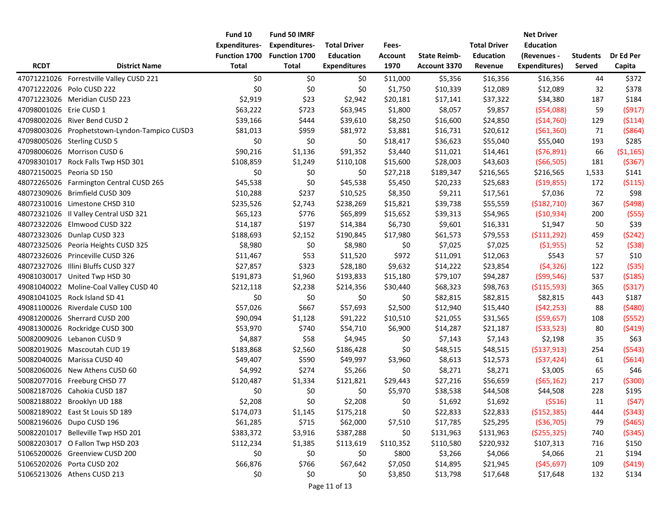|                           |                                               | Fund 10                              | Fund 50 IMRF                         |                     |                        |                                     |                     | <b>Net Driver</b>    |                 |            |
|---------------------------|-----------------------------------------------|--------------------------------------|--------------------------------------|---------------------|------------------------|-------------------------------------|---------------------|----------------------|-----------------|------------|
|                           |                                               | <b>Expenditures-</b>                 | <b>Expenditures-</b>                 | <b>Total Driver</b> | Fees-                  |                                     | <b>Total Driver</b> | Education            |                 |            |
| <b>RCDT</b>               | <b>District Name</b>                          | <b>Function 1700</b><br><b>Total</b> | <b>Function 1700</b><br><b>Total</b> | <b>Education</b>    | <b>Account</b><br>1970 | <b>State Reimb-</b><br>Account 3370 | <b>Education</b>    | (Revenues -          | <b>Students</b> | Dr Ed Per  |
|                           |                                               |                                      |                                      | <b>Expenditures</b> |                        |                                     | Revenue             | <b>Expenditures)</b> | Served          | Capita     |
|                           | 47071221026 Forrestville Valley CUSD 221      | \$0                                  | \$0                                  | \$0                 | \$11,000               | \$5,356                             | \$16,356            | \$16,356             | 44              | \$372      |
|                           | 47071222026 Polo CUSD 222                     | \$0                                  | \$0                                  | \$0                 | \$1,750                | \$10,339                            | \$12,089            | \$12,089             | 32              | \$378      |
|                           | 47071223026 Meridian CUSD 223                 | \$2,919                              | \$23                                 | \$2,942             | \$20,181               | \$17,141                            | \$37,322            | \$34,380             | 187             | \$184      |
| 47098001026 Erie CUSD 1   |                                               | \$63,222                             | \$723                                | \$63,945            | \$1,800                | \$8,057                             | \$9,857             | (554,088)            | 59              | (5917)     |
|                           | 47098002026 River Bend CUSD 2                 | \$39,166                             | \$444                                | \$39,610            | \$8,250                | \$16,600                            | \$24,850            | ( \$14,760)          | 129             | (5114)     |
|                           | 47098003026 Prophetstown-Lyndon-Tampico CUSD3 | \$81,013                             | \$959                                | \$81,972            | \$3,881                | \$16,731                            | \$20,612            | (561,360)            | 71              | ( \$864)   |
|                           | 47098005026 Sterling CUSD 5                   | \$0                                  | \$0                                  | \$0                 | \$18,417               | \$36,623                            | \$55,040            | \$55,040             | 193             | \$285      |
|                           | 47098006026 Morrison CUSD 6                   | \$90,216                             | \$1,136                              | \$91,352            | \$3,440                | \$11,021                            | \$14,461            | (576,891)            | 66              | ( \$1,165) |
|                           | 47098301017 Rock Falls Twp HSD 301            | \$108,859                            | \$1,249                              | \$110,108           | \$15,600               | \$28,003                            | \$43,603            | ( \$66, 505)         | 181             | ( \$367)   |
| 48072150025 Peoria SD 150 |                                               | \$0                                  | \$0                                  | \$0                 | \$27,218               | \$189,347                           | \$216,565           | \$216,565            | 1,533           | \$141      |
|                           | 48072265026 Farmington Central CUSD 265       | \$45,538                             | \$0                                  | \$45,538            | \$5,450                | \$20,233                            | \$25,683            | ( \$19,855)          | 172             | ( \$115)   |
|                           | 48072309026 Brimfield CUSD 309                | \$10,288                             | \$237                                | \$10,525            | \$8,350                | \$9,211                             | \$17,561            | \$7,036              | 72              | \$98       |
|                           | 48072310016 Limestone CHSD 310                | \$235,526                            | \$2,743                              | \$238,269           | \$15,821               | \$39,738                            | \$55,559            | ( \$182, 710)        | 367             | (5498)     |
|                           | 48072321026 Il Valley Central USD 321         | \$65,123                             | \$776                                | \$65,899            | \$15,652               | \$39,313                            | \$54,965            | (510, 934)           | 200             | (555)      |
|                           | 48072322026 Elmwood CUSD 322                  | \$14,187                             | \$197                                | \$14,384            | \$6,730                | \$9,601                             | \$16,331            | \$1,947              | 50              | \$39       |
|                           | 48072323026 Dunlap CUSD 323                   | \$188,693                            | \$2,152                              | \$190,845           | \$17,980               | \$61,573                            | \$79,553            | ( \$111, 292)        | 459             | (5242)     |
|                           | 48072325026 Peoria Heights CUSD 325           | \$8,980                              | \$0                                  | \$8,980             | \$0                    | \$7,025                             | \$7,025             | ( \$1,955)           | 52              | (538)      |
|                           | 48072326026 Princeville CUSD 326              | \$11,467                             | \$53                                 | \$11,520            | \$972                  | \$11,091                            | \$12,063            | \$543                | 57              | \$10       |
|                           | 48072327026 Illini Bluffs CUSD 327            | \$27,857                             | \$323                                | \$28,180            | \$9,632                | \$14,222                            | \$23,854            | (54, 326)            | 122             | ( \$35)    |
|                           | 49081030017 United Twp HSD 30                 | \$191,873                            | \$1,960                              | \$193,833           | \$15,180               | \$79,107                            | \$94,287            | (599, 546)           | 537             | (5185)     |
|                           | 49081040022 Moline-Coal Valley CUSD 40        | \$212,118                            | \$2,238                              | \$214,356           | \$30,440               | \$68,323                            | \$98,763            | ( \$115,593)         | 365             | (5317)     |
|                           | 49081041025 Rock Island SD 41                 | \$0                                  | \$0                                  | \$0                 | \$0                    | \$82,815                            | \$82,815            | \$82,815             | 443             | \$187      |
|                           | 49081100026 Riverdale CUSD 100                | \$57,026                             | \$667                                | \$57,693            | \$2,500                | \$12,940                            | \$15,440            | (542, 253)           | 88              | (5480)     |
|                           | 49081200026 Sherrard CUSD 200                 | \$90,094                             | \$1,128                              | \$91,222            | \$10,510               | \$21,055                            | \$31,565            | (559, 657)           | 108             | (5552)     |
|                           | 49081300026 Rockridge CUSD 300                | \$53,970                             | \$740                                | \$54,710            | \$6,900                | \$14,287                            | \$21,187            | ( \$33,523)          | 80              | (5419)     |
|                           | 50082009026 Lebanon CUSD 9                    | \$4,887                              | \$58                                 | \$4,945             | \$0                    | \$7,143                             | \$7,143             | \$2,198              | 35              | \$63       |
|                           | 50082019026 Mascoutah CUD 19                  | \$183,868                            | \$2,560                              | \$186,428           | \$0                    | \$48,515                            | \$48,515            | ( \$137, 913)        | 254             | (5543)     |
|                           | 50082040026 Marissa CUSD 40                   | \$49,407                             | \$590                                | \$49,997            | \$3,960                | \$8,613                             | \$12,573            | (537, 424)           | 61              | (5614)     |
|                           | 50082060026 New Athens CUSD 60                | \$4,992                              | \$274                                | \$5,266             | \$0                    | \$8,271                             | \$8,271             | \$3,005              | 65              | \$46       |
|                           | 50082077016 Freeburg CHSD 77                  | \$120,487                            | \$1,334                              | \$121,821           | \$29,443               | \$27,216                            | \$56,659            | (565, 162)           | 217             | ( \$300)   |
|                           | 50082187026 Cahokia CUSD 187                  | \$0                                  | \$0                                  | \$0                 | \$5,970                | \$38,538                            | \$44,508            | \$44,508             | 228             | \$195      |
|                           | 50082188022 Brooklyn UD 188                   | \$2,208                              | \$0                                  | \$2,208             | \$0                    | \$1,692                             | \$1,692             | ( \$516)             | 11              | (547)      |
|                           | 50082189022   East St Louis SD 189            | \$174,073                            | \$1,145                              | \$175,218           | \$0                    | \$22,833                            | \$22,833            | ( \$152, 385)        | 444             | (5343)     |
|                           | 50082196026 Dupo CUSD 196                     | \$61,285                             | \$715                                | \$62,000            | \$7,510                | \$17,785                            | \$25,295            | ( \$36, 705)         | 79              | (\$465)    |
|                           | 50082201017 Belleville Twp HSD 201            | \$383,372                            | \$3,916                              | \$387,288           | \$0                    | \$131,963                           | \$131,963           | ( \$255, 325)        | 740             | ( \$345)   |
|                           | 50082203017 O Fallon Twp HSD 203              | \$112,234                            | \$1,385                              | \$113,619           | \$110,352              | \$110,580                           | \$220,932           | \$107,313            | 716             | \$150      |
|                           | 51065200026 Greenview CUSD 200                | \$0                                  | \$0                                  | \$0                 | \$800                  | \$3,266                             | \$4,066             | \$4,066              | 21              | \$194      |
|                           | 51065202026 Porta CUSD 202                    | \$66,876                             | \$766                                | \$67,642            | \$7,050                | \$14,895                            | \$21,945            | (545, 697)           | 109             | (\$419)    |
|                           | 51065213026 Athens CUSD 213                   | \$0                                  | \$0                                  | \$0                 | \$3,850                | \$13,798                            | \$17,648            | \$17,648             | 132             | \$134      |
|                           |                                               |                                      |                                      |                     |                        |                                     |                     |                      |                 |            |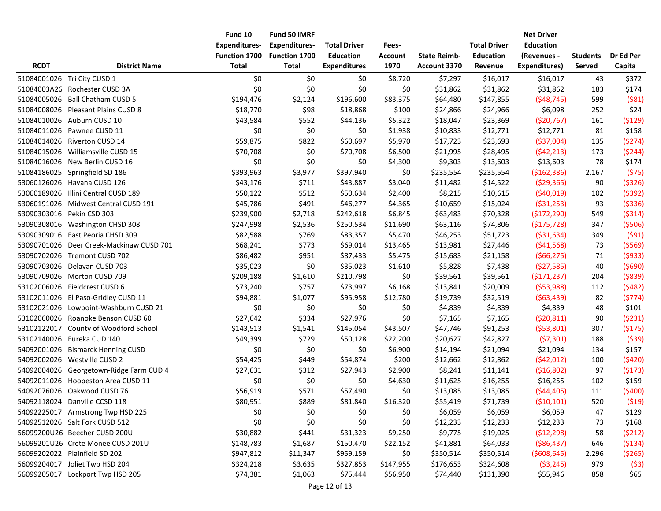|             |                                          | Fund 10              | Fund 50 IMRF         |                     |                |                     |                     | <b>Net Driver</b> |          |           |
|-------------|------------------------------------------|----------------------|----------------------|---------------------|----------------|---------------------|---------------------|-------------------|----------|-----------|
|             |                                          | <b>Expenditures-</b> | <b>Expenditures-</b> | <b>Total Driver</b> | Fees-          |                     | <b>Total Driver</b> | <b>Education</b>  |          |           |
|             |                                          | Function 1700        | <b>Function 1700</b> | <b>Education</b>    | <b>Account</b> | <b>State Reimb-</b> | <b>Education</b>    | (Revenues -       | Students | Dr Ed Per |
| <b>RCDT</b> | <b>District Name</b>                     | <b>Total</b>         | <b>Total</b>         | <b>Expenditures</b> | 1970           | Account 3370        | Revenue             | Expenditures)     | Served   | Capita    |
|             | 51084001026 Tri City CUSD 1              | \$0                  | \$0                  | \$0                 | \$8,720        | \$7,297             | \$16,017            | \$16,017          | 43       | \$372     |
|             | 51084003A26 Rochester CUSD 3A            | \$0                  | \$0                  | \$0                 | \$0            | \$31,862            | \$31,862            | \$31,862          | 183      | \$174     |
|             | 51084005026 Ball Chatham CUSD 5          | \$194,476            | \$2,124              | \$196,600           | \$83,375       | \$64,480            | \$147,855           | (548, 745)        | 599      | (581)     |
|             | 51084008026 Pleasant Plains CUSD 8       | \$18,770             | \$98                 | \$18,868            | \$100          | \$24,866            | \$24,966            | \$6,098           | 252      | \$24      |
|             | 51084010026 Auburn CUSD 10               | \$43,584             | \$552                | \$44,136            | \$5,322        | \$18,047            | \$23,369            | (520, 767)        | 161      | ( \$129)  |
|             | 51084011026 Pawnee CUSD 11               | \$0                  | \$0                  | \$0                 | \$1,938        | \$10,833            | \$12,771            | \$12,771          | 81       | \$158     |
|             | 51084014026 Riverton CUSD 14             | \$59,875             | \$822                | \$60,697            | \$5,970        | \$17,723            | \$23,693            | ( \$37,004)       | 135      | (5274)    |
|             | 51084015026 Williamsville CUSD 15        | \$70,708             | \$0                  | \$70,708            | \$6,500        | \$21,995            | \$28,495            | (542, 213)        | 173      | (5244)    |
|             | 51084016026 New Berlin CUSD 16           | \$0                  | \$0                  | \$0                 | \$4,300        | \$9,303             | \$13,603            | \$13,603          | 78       | \$174     |
|             | 51084186025 Springfield SD 186           | \$393,963            | \$3,977              | \$397,940           | \$0            | \$235,554           | \$235,554           | (\$162,386)       | 2,167    | (575)     |
|             | 53060126026 Havana CUSD 126              | \$43,176             | \$711                | \$43,887            | \$3,040        | \$11,482            | \$14,522            | (529, 365)        | 90       | ( \$326)  |
|             | 53060189026 Illini Central CUSD 189      | \$50,122             | \$512                | \$50,634            | \$2,400        | \$8,215             | \$10,615            | (540, 019)        | 102      | (5392)    |
|             | 53060191026 Midwest Central CUSD 191     | \$45,786             | \$491                | \$46,277            | \$4,365        | \$10,659            | \$15,024            | ( \$31, 253)      | 93       | ( \$336)  |
|             | 53090303016 Pekin CSD 303                | \$239,900            | \$2,718              | \$242,618           | \$6,845        | \$63,483            | \$70,328            | (\$172,290)       | 549      | ( \$314)  |
|             | 53090308016 Washington CHSD 308          | \$247,998            | \$2,536              | \$250,534           | \$11,690       | \$63,116            | \$74,806            | (\$175,728)       | 347      | ( \$506)  |
|             | 53090309016 East Peoria CHSD 309         | \$82,588             | \$769                | \$83,357            | \$5,470        | \$46,253            | \$51,723            | ( \$31, 634)      | 349      | (591)     |
|             | 53090701026 Deer Creek-Mackinaw CUSD 701 | \$68,241             | \$773                | \$69,014            | \$13,465       | \$13,981            | \$27,446            | (541, 568)        | 73       | ( \$569)  |
|             | 53090702026 Tremont CUSD 702             | \$86,482             | \$951                | \$87,433            | \$5,475        | \$15,683            | \$21,158            | (566, 275)        | 71       | (5933)    |
|             | 53090703026 Delavan CUSD 703             | \$35,023             | \$0                  | \$35,023            | \$1,610        | \$5,828             | \$7,438             | (527,585)         | 40       | (5690)    |
|             | 53090709026 Morton CUSD 709              | \$209,188            | \$1,610              | \$210,798           | \$0            | \$39,561            | \$39,561            | (5171, 237)       | 204      | ( \$839)  |
|             | 53102006026 Fieldcrest CUSD 6            | \$73,240             | \$757                | \$73,997            | \$6,168        | \$13,841            | \$20,009            | (553,988)         | 112      | (5482)    |
|             | 53102011026 El Paso-Gridley CUSD 11      | \$94,881             | \$1,077              | \$95,958            | \$12,780       | \$19,739            | \$32,519            | (563, 439)        | 82       | (5774)    |
|             | 53102021026 Lowpoint-Washburn CUSD 21    | \$0                  | \$0                  | \$0                 | \$0            | \$4,839             | \$4,839             | \$4,839           | 48       | \$101     |
|             | 53102060026 Roanoke Benson CUSD 60       | \$27,642             | \$334                | \$27,976            | \$0            | \$7,165             | \$7,165             | (520, 811)        | 90       | (5231)    |
| 53102122017 | County of Woodford School                | \$143,513            | \$1,541              | \$145,054           | \$43,507       | \$47,746            | \$91,253            | (553,801)         | 307      | (5175)    |
|             | 53102140026 Eureka CUD 140               | \$49,399             | \$729                | \$50,128            | \$22,200       | \$20,627            | \$42,827            | (57, 301)         | 188      | (539)     |
|             | 54092001026 Bismarck Henning CUSD        | \$0                  | \$0                  | \$0                 | \$6,900        | \$14,194            | \$21,094            | \$21,094          | 134      | \$157     |
|             | 54092002026 Westville CUSD 2             | \$54,425             | \$449                | \$54,874            | \$200          | \$12,662            | \$12,862            | (542, 012)        | 100      | (5420)    |
|             | 54092004026 Georgetown-Ridge Farm CUD 4  | \$27,631             | \$312                | \$27,943            | \$2,900        | \$8,241             | \$11,141            | ( \$16, 802)      | 97       | (5173)    |
|             | 54092011026 Hoopeston Area CUSD 11       | \$0                  | \$0                  | \$0                 | \$4,630        | \$11,625            | \$16,255            | \$16,255          | 102      | \$159     |
|             | 54092076026 Oakwood CUSD 76              | \$56,919             | \$571                | \$57,490            | \$0            | \$13,085            | \$13,085            | (544, 405)        | 111      | (5400)    |
|             | 54092118024 Danville CCSD 118            | \$80,951             | \$889                | \$81,840            | \$16,320       | \$55,419            | \$71,739            | ( \$10, 101)      | 520      | (519)     |
|             | 54092225017 Armstrong Twp HSD 225        | \$0                  | \$0                  | \$0                 | \$0            | \$6,059             | \$6,059             | \$6,059           | 47       | \$129     |
|             | 54092512026 Salt Fork CUSD 512           | \$0                  | \$0                  | \$0                 | \$0            | \$12,233            | \$12,233            | \$12,233          | 73       | \$168     |
|             | 56099200U26 Beecher CUSD 200U            | \$30,882             | \$441                | \$31,323            | \$9,250        | \$9,775             | \$19,025            | (512, 298)        | 58       | (5212)    |
|             | 56099201U26 Crete Monee CUSD 201U        | \$148,783            | \$1,687              | \$150,470           | \$22,152       | \$41,881            | \$64,033            | ( \$86,437)       | 646      | (5134)    |
|             | 56099202022 Plainfield SD 202            | \$947,812            | \$11,347             | \$959,159           | \$0            | \$350,514           | \$350,514           | (5608, 645)       | 2,296    | (5265)    |
|             | 56099204017 Joliet Twp HSD 204           | \$324,218            | \$3,635              | \$327,853           | \$147,955      | \$176,653           | \$324,608           | (53, 245)         | 979      | (53)      |
|             | 56099205017 Lockport Twp HSD 205         | \$74,381             | \$1,063              | \$75,444            | \$56,950       | \$74,440            | \$131,390           | \$55,946          | 858      | \$65      |